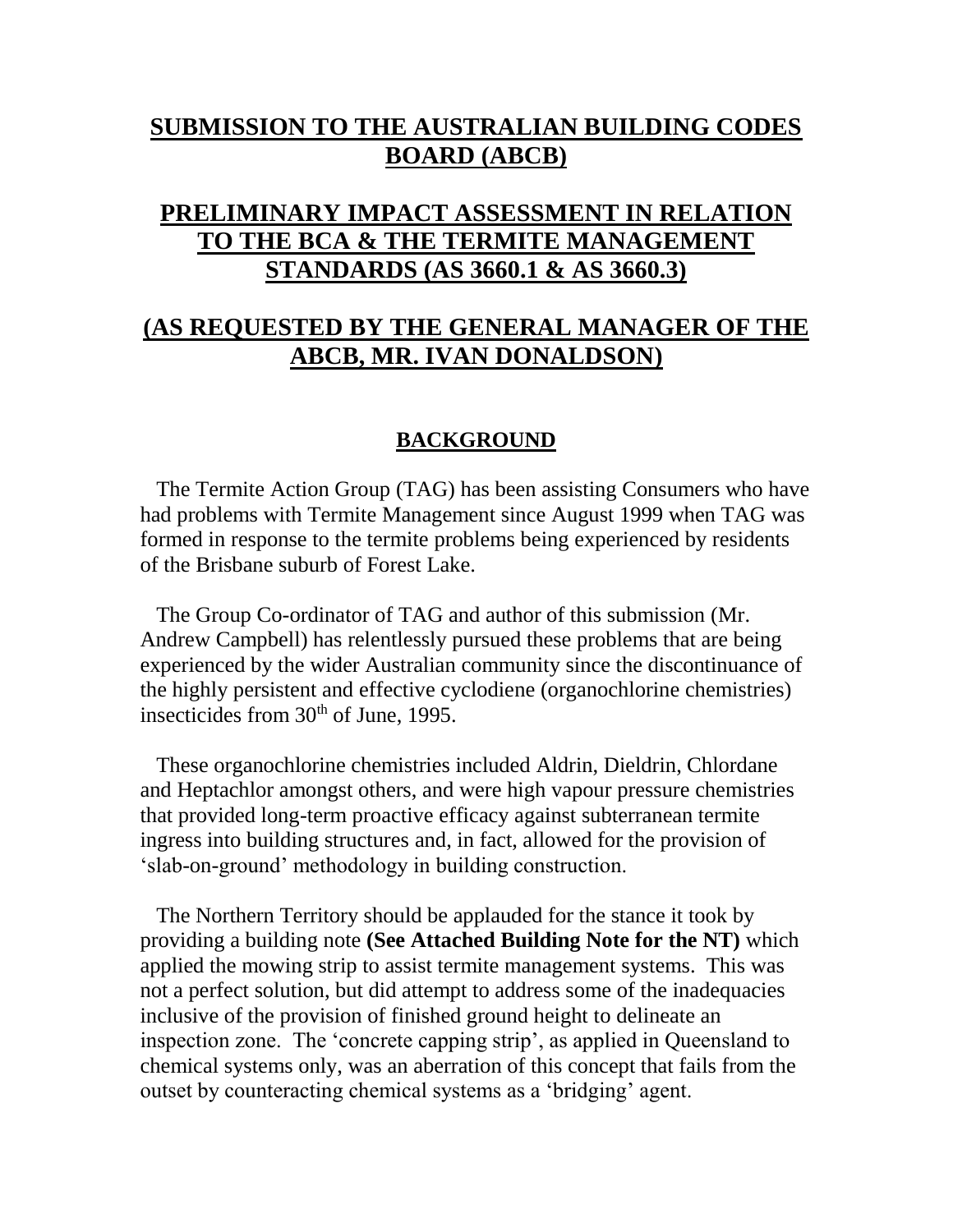# **SUBMISSION TO THE AUSTRALIAN BUILDING CODES BOARD (ABCB)**

# **PRELIMINARY IMPACT ASSESSMENT IN RELATION TO THE BCA & THE TERMITE MANAGEMENT STANDARDS (AS 3660.1 & AS 3660.3)**

# **(AS REQUESTED BY THE GENERAL MANAGER OF THE ABCB, MR. IVAN DONALDSON)**

# **BACKGROUND**

 The Termite Action Group (TAG) has been assisting Consumers who have had problems with Termite Management since August 1999 when TAG was formed in response to the termite problems being experienced by residents of the Brisbane suburb of Forest Lake.

 The Group Co-ordinator of TAG and author of this submission (Mr. Andrew Campbell) has relentlessly pursued these problems that are being experienced by the wider Australian community since the discontinuance of the highly persistent and effective cyclodiene (organochlorine chemistries) insecticides from 30<sup>th</sup> of June, 1995.

 These organochlorine chemistries included Aldrin, Dieldrin, Chlordane and Heptachlor amongst others, and were high vapour pressure chemistries that provided long-term proactive efficacy against subterranean termite ingress into building structures and, in fact, allowed for the provision of 'slab-on-ground' methodology in building construction.

 The Northern Territory should be applauded for the stance it took by providing a building note **(See Attached Building Note for the NT)** which applied the mowing strip to assist termite management systems. This was not a perfect solution, but did attempt to address some of the inadequacies inclusive of the provision of finished ground height to delineate an inspection zone. The 'concrete capping strip', as applied in Queensland to chemical systems only, was an aberration of this concept that fails from the outset by counteracting chemical systems as a 'bridging' agent.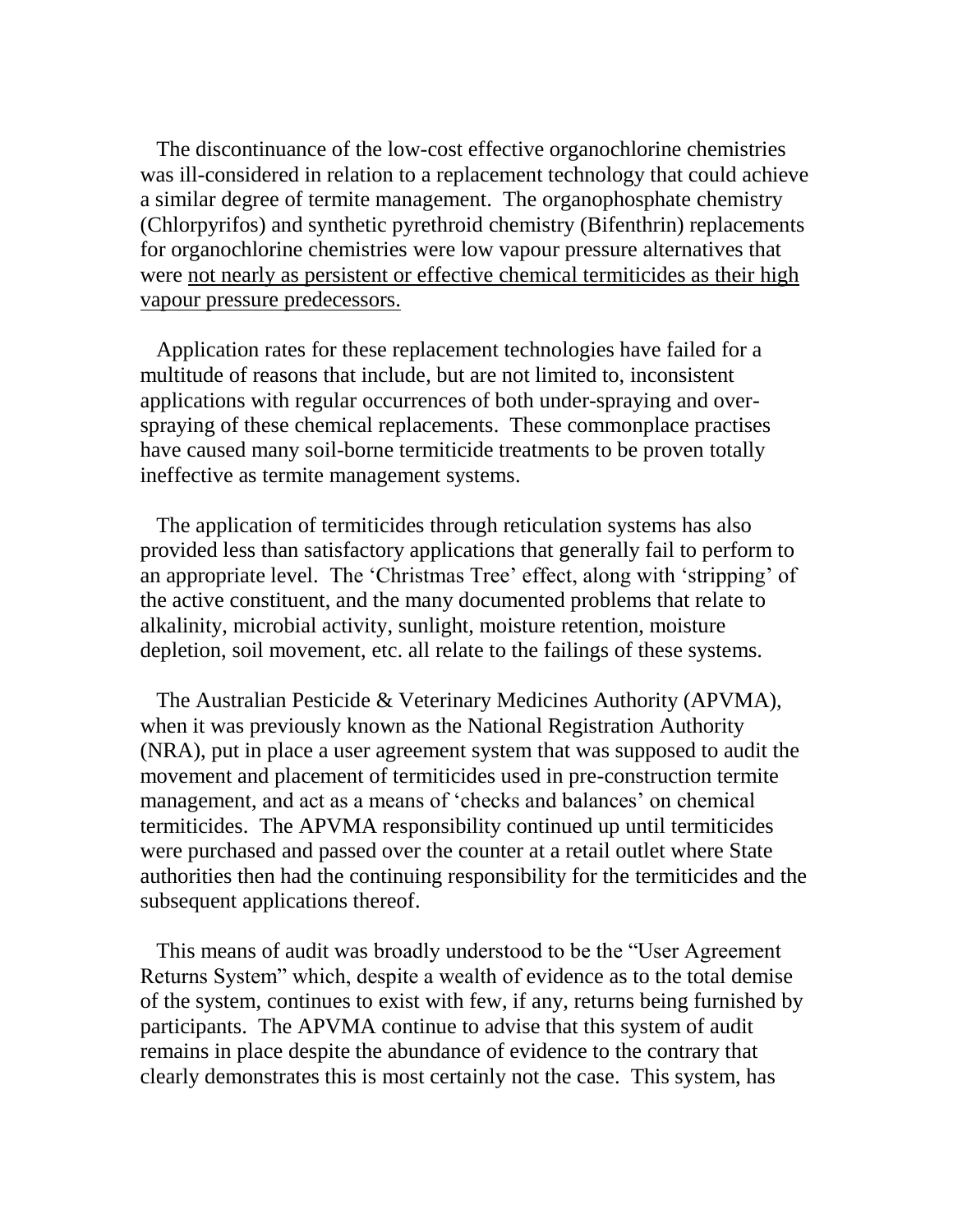The discontinuance of the low-cost effective organochlorine chemistries was ill-considered in relation to a replacement technology that could achieve a similar degree of termite management. The organophosphate chemistry (Chlorpyrifos) and synthetic pyrethroid chemistry (Bifenthrin) replacements for organochlorine chemistries were low vapour pressure alternatives that were not nearly as persistent or effective chemical termiticides as their high vapour pressure predecessors.

 Application rates for these replacement technologies have failed for a multitude of reasons that include, but are not limited to, inconsistent applications with regular occurrences of both under-spraying and overspraying of these chemical replacements. These commonplace practises have caused many soil-borne termiticide treatments to be proven totally ineffective as termite management systems.

 The application of termiticides through reticulation systems has also provided less than satisfactory applications that generally fail to perform to an appropriate level. The 'Christmas Tree' effect, along with 'stripping' of the active constituent, and the many documented problems that relate to alkalinity, microbial activity, sunlight, moisture retention, moisture depletion, soil movement, etc. all relate to the failings of these systems.

 The Australian Pesticide & Veterinary Medicines Authority (APVMA), when it was previously known as the National Registration Authority (NRA), put in place a user agreement system that was supposed to audit the movement and placement of termiticides used in pre-construction termite management, and act as a means of 'checks and balances' on chemical termiticides. The APVMA responsibility continued up until termiticides were purchased and passed over the counter at a retail outlet where State authorities then had the continuing responsibility for the termiticides and the subsequent applications thereof.

 This means of audit was broadly understood to be the "User Agreement Returns System" which, despite a wealth of evidence as to the total demise of the system, continues to exist with few, if any, returns being furnished by participants. The APVMA continue to advise that this system of audit remains in place despite the abundance of evidence to the contrary that clearly demonstrates this is most certainly not the case. This system, has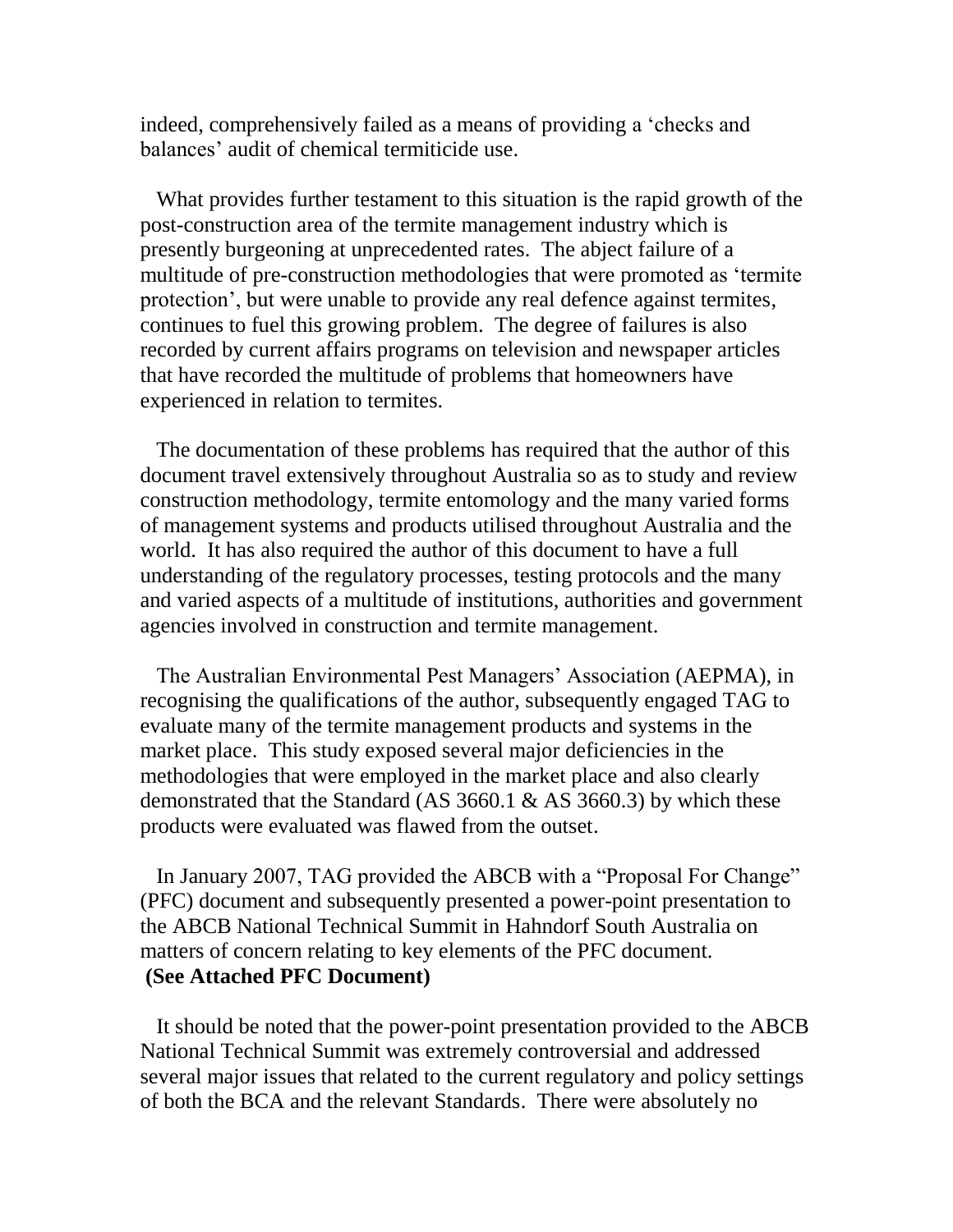indeed, comprehensively failed as a means of providing a 'checks and balances' audit of chemical termiticide use.

 What provides further testament to this situation is the rapid growth of the post-construction area of the termite management industry which is presently burgeoning at unprecedented rates. The abject failure of a multitude of pre-construction methodologies that were promoted as 'termite protection', but were unable to provide any real defence against termites, continues to fuel this growing problem. The degree of failures is also recorded by current affairs programs on television and newspaper articles that have recorded the multitude of problems that homeowners have experienced in relation to termites.

 The documentation of these problems has required that the author of this document travel extensively throughout Australia so as to study and review construction methodology, termite entomology and the many varied forms of management systems and products utilised throughout Australia and the world. It has also required the author of this document to have a full understanding of the regulatory processes, testing protocols and the many and varied aspects of a multitude of institutions, authorities and government agencies involved in construction and termite management.

 The Australian Environmental Pest Managers' Association (AEPMA), in recognising the qualifications of the author, subsequently engaged TAG to evaluate many of the termite management products and systems in the market place. This study exposed several major deficiencies in the methodologies that were employed in the market place and also clearly demonstrated that the Standard (AS 3660.1 & AS 3660.3) by which these products were evaluated was flawed from the outset.

 In January 2007, TAG provided the ABCB with a "Proposal For Change" (PFC) document and subsequently presented a power-point presentation to the ABCB National Technical Summit in Hahndorf South Australia on matters of concern relating to key elements of the PFC document. **(See Attached PFC Document)**

 It should be noted that the power-point presentation provided to the ABCB National Technical Summit was extremely controversial and addressed several major issues that related to the current regulatory and policy settings of both the BCA and the relevant Standards. There were absolutely no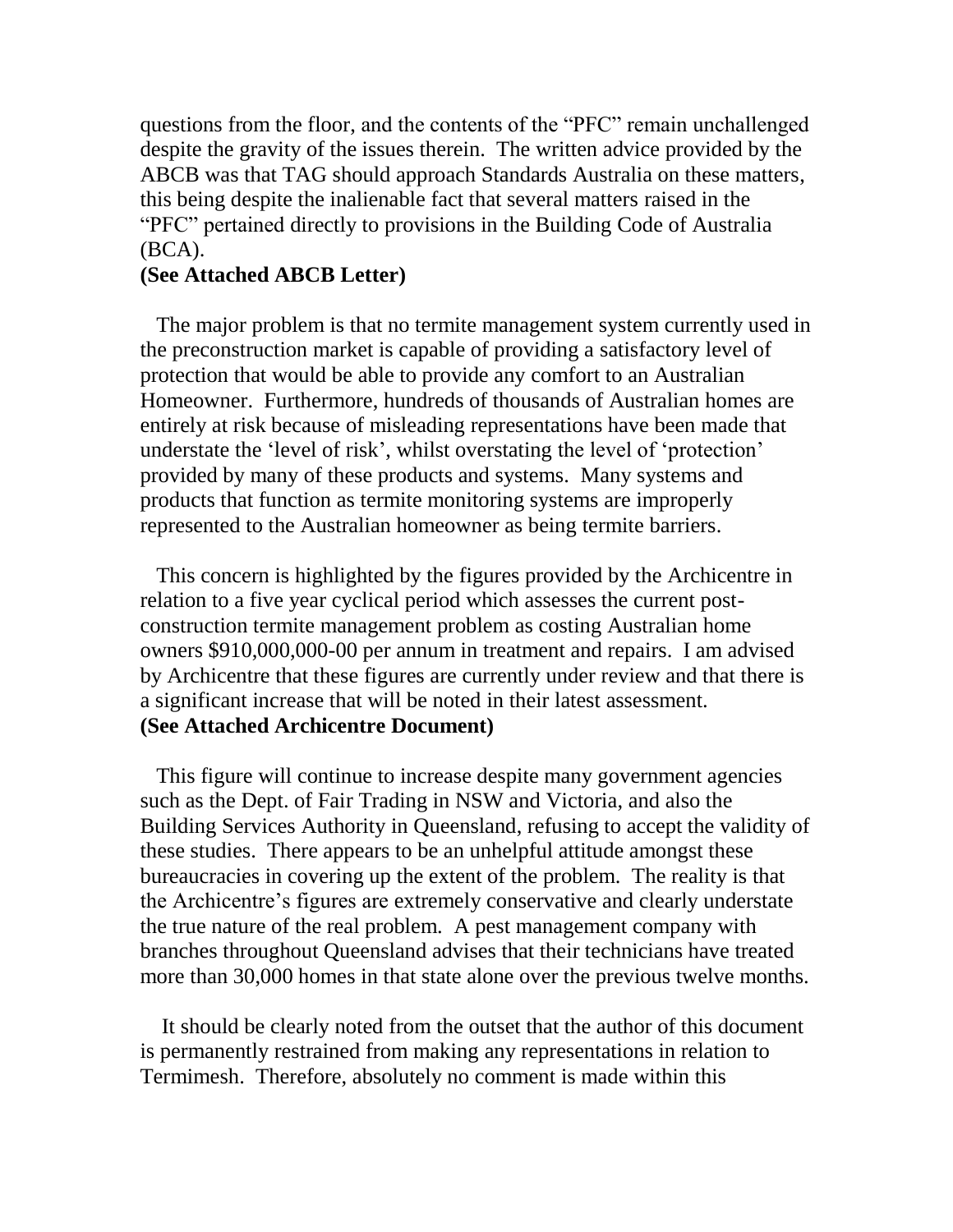questions from the floor, and the contents of the "PFC" remain unchallenged despite the gravity of the issues therein. The written advice provided by the ABCB was that TAG should approach Standards Australia on these matters, this being despite the inalienable fact that several matters raised in the "PFC" pertained directly to provisions in the Building Code of Australia (BCA).

# **(See Attached ABCB Letter)**

 The major problem is that no termite management system currently used in the preconstruction market is capable of providing a satisfactory level of protection that would be able to provide any comfort to an Australian Homeowner. Furthermore, hundreds of thousands of Australian homes are entirely at risk because of misleading representations have been made that understate the 'level of risk', whilst overstating the level of 'protection' provided by many of these products and systems. Many systems and products that function as termite monitoring systems are improperly represented to the Australian homeowner as being termite barriers.

 This concern is highlighted by the figures provided by the Archicentre in relation to a five year cyclical period which assesses the current postconstruction termite management problem as costing Australian home owners \$910,000,000-00 per annum in treatment and repairs. I am advised by Archicentre that these figures are currently under review and that there is a significant increase that will be noted in their latest assessment. **(See Attached Archicentre Document)**

 This figure will continue to increase despite many government agencies such as the Dept. of Fair Trading in NSW and Victoria, and also the Building Services Authority in Queensland, refusing to accept the validity of these studies. There appears to be an unhelpful attitude amongst these bureaucracies in covering up the extent of the problem. The reality is that the Archicentre's figures are extremely conservative and clearly understate the true nature of the real problem. A pest management company with branches throughout Queensland advises that their technicians have treated more than 30,000 homes in that state alone over the previous twelve months.

 It should be clearly noted from the outset that the author of this document is permanently restrained from making any representations in relation to Termimesh. Therefore, absolutely no comment is made within this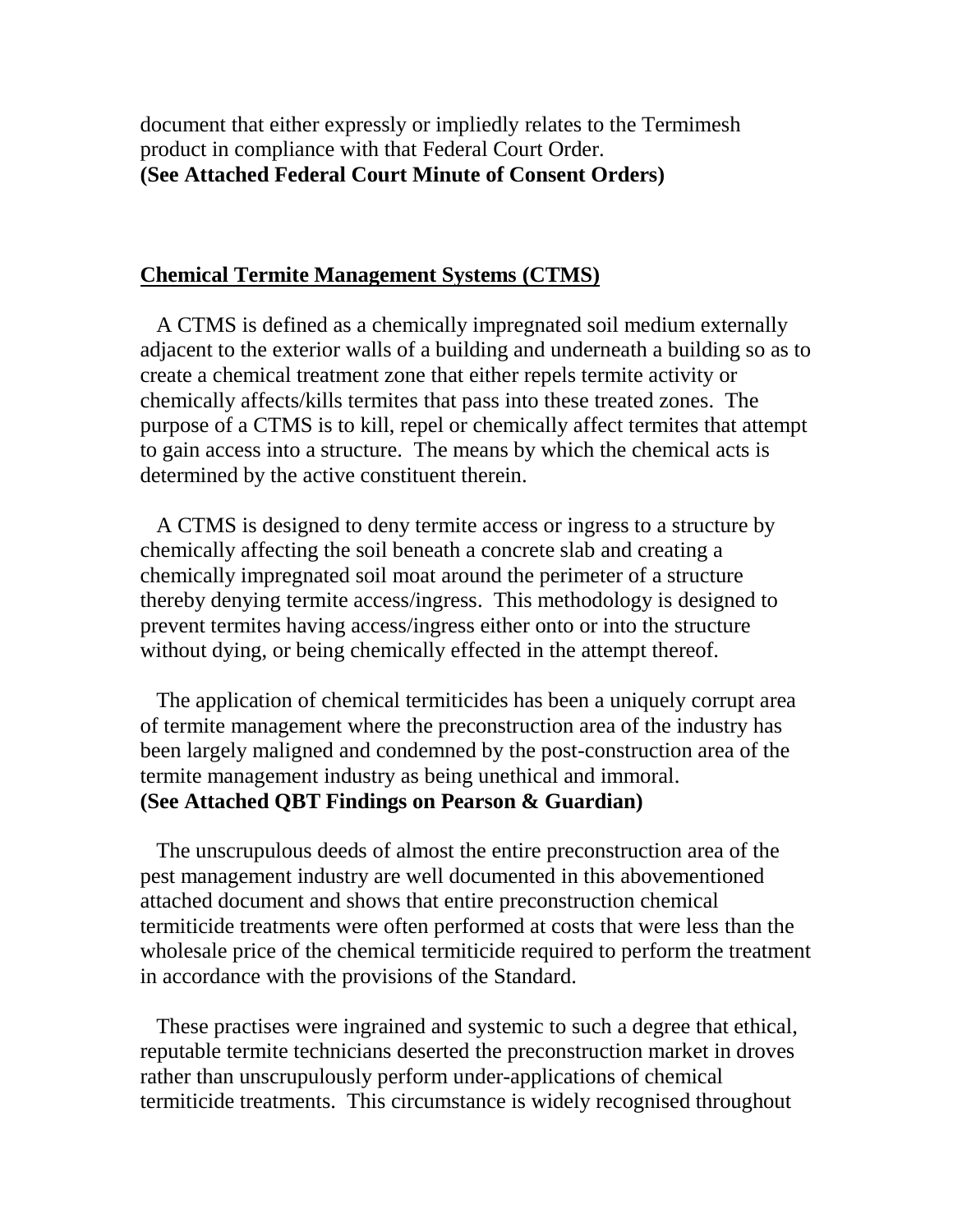document that either expressly or impliedly relates to the Termimesh product in compliance with that Federal Court Order. **(See Attached Federal Court Minute of Consent Orders)**

### **Chemical Termite Management Systems (CTMS)**

 A CTMS is defined as a chemically impregnated soil medium externally adjacent to the exterior walls of a building and underneath a building so as to create a chemical treatment zone that either repels termite activity or chemically affects/kills termites that pass into these treated zones. The purpose of a CTMS is to kill, repel or chemically affect termites that attempt to gain access into a structure. The means by which the chemical acts is determined by the active constituent therein.

 A CTMS is designed to deny termite access or ingress to a structure by chemically affecting the soil beneath a concrete slab and creating a chemically impregnated soil moat around the perimeter of a structure thereby denying termite access/ingress. This methodology is designed to prevent termites having access/ingress either onto or into the structure without dying, or being chemically effected in the attempt thereof.

 The application of chemical termiticides has been a uniquely corrupt area of termite management where the preconstruction area of the industry has been largely maligned and condemned by the post-construction area of the termite management industry as being unethical and immoral. **(See Attached QBT Findings on Pearson & Guardian)**

 The unscrupulous deeds of almost the entire preconstruction area of the pest management industry are well documented in this abovementioned attached document and shows that entire preconstruction chemical termiticide treatments were often performed at costs that were less than the wholesale price of the chemical termiticide required to perform the treatment in accordance with the provisions of the Standard.

 These practises were ingrained and systemic to such a degree that ethical, reputable termite technicians deserted the preconstruction market in droves rather than unscrupulously perform under-applications of chemical termiticide treatments. This circumstance is widely recognised throughout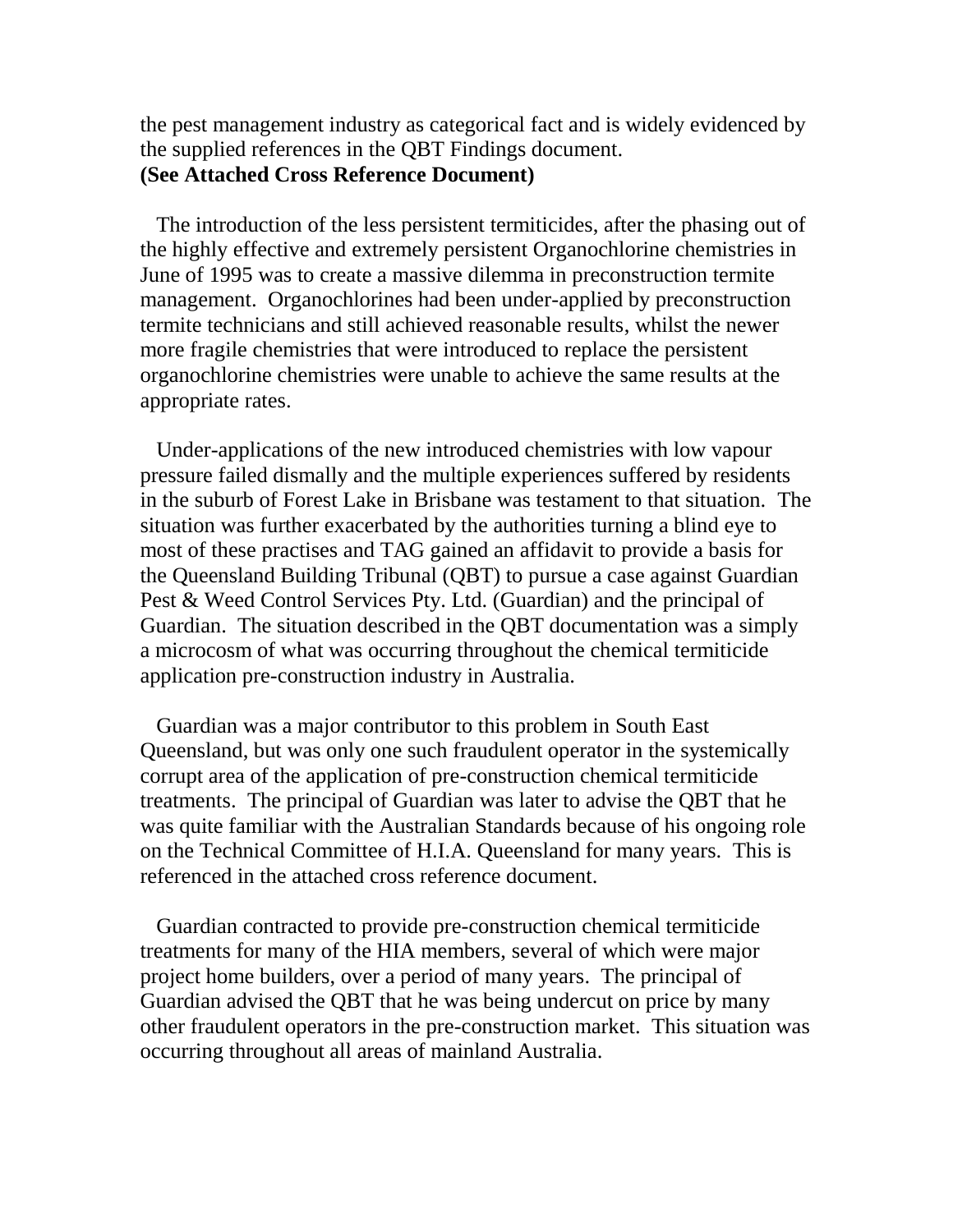the pest management industry as categorical fact and is widely evidenced by the supplied references in the QBT Findings document. **(See Attached Cross Reference Document)**

 The introduction of the less persistent termiticides, after the phasing out of the highly effective and extremely persistent Organochlorine chemistries in June of 1995 was to create a massive dilemma in preconstruction termite management. Organochlorines had been under-applied by preconstruction termite technicians and still achieved reasonable results, whilst the newer more fragile chemistries that were introduced to replace the persistent organochlorine chemistries were unable to achieve the same results at the appropriate rates.

 Under-applications of the new introduced chemistries with low vapour pressure failed dismally and the multiple experiences suffered by residents in the suburb of Forest Lake in Brisbane was testament to that situation. The situation was further exacerbated by the authorities turning a blind eye to most of these practises and TAG gained an affidavit to provide a basis for the Queensland Building Tribunal (QBT) to pursue a case against Guardian Pest & Weed Control Services Pty. Ltd. (Guardian) and the principal of Guardian. The situation described in the QBT documentation was a simply a microcosm of what was occurring throughout the chemical termiticide application pre-construction industry in Australia.

 Guardian was a major contributor to this problem in South East Queensland, but was only one such fraudulent operator in the systemically corrupt area of the application of pre-construction chemical termiticide treatments. The principal of Guardian was later to advise the QBT that he was quite familiar with the Australian Standards because of his ongoing role on the Technical Committee of H.I.A. Queensland for many years. This is referenced in the attached cross reference document.

Guardian contracted to provide pre-construction chemical termiticide treatments for many of the HIA members, several of which were major project home builders, over a period of many years. The principal of Guardian advised the QBT that he was being undercut on price by many other fraudulent operators in the pre-construction market. This situation was occurring throughout all areas of mainland Australia.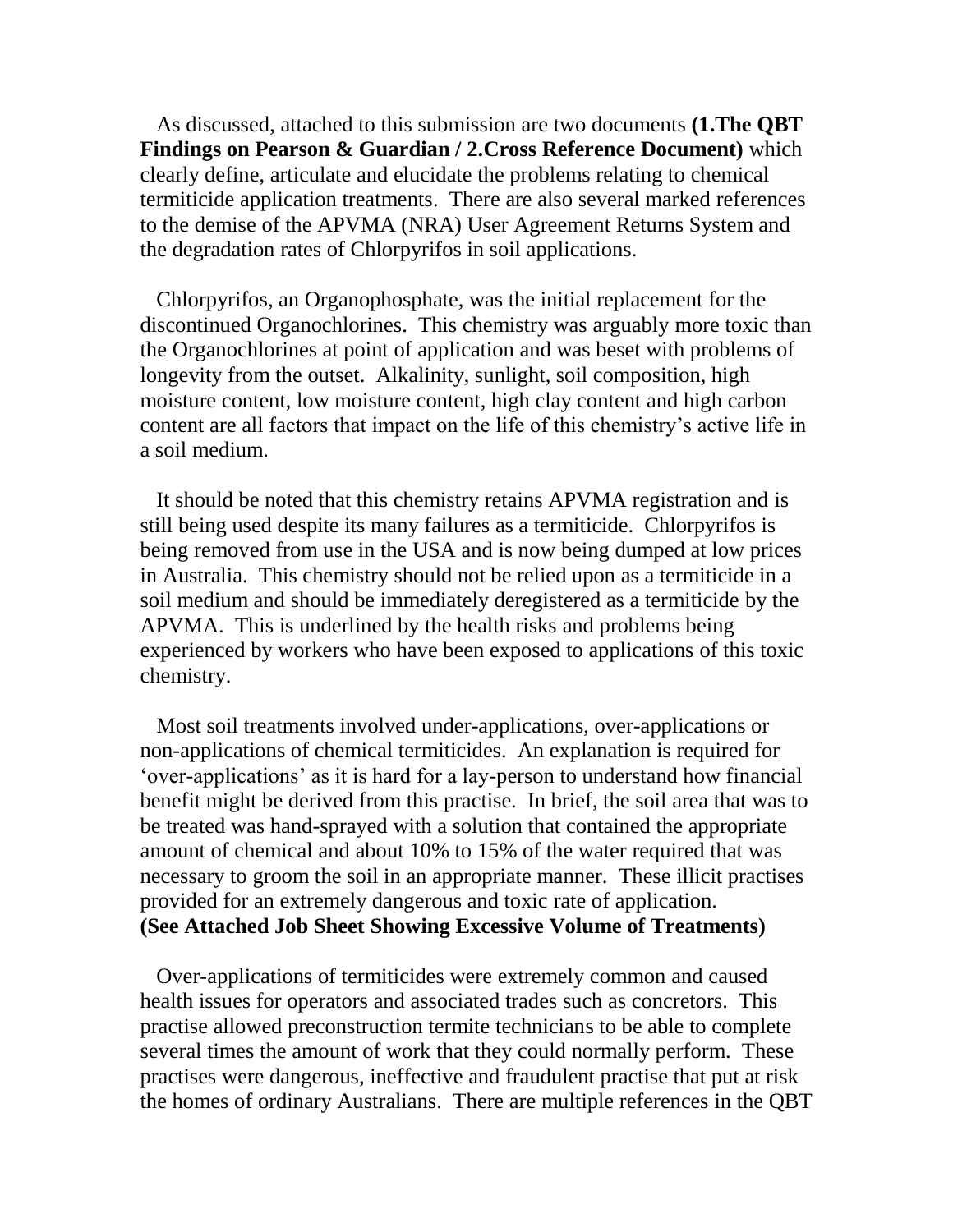As discussed, attached to this submission are two documents **(1.The QBT Findings on Pearson & Guardian / 2.Cross Reference Document)** which clearly define, articulate and elucidate the problems relating to chemical termiticide application treatments. There are also several marked references to the demise of the APVMA (NRA) User Agreement Returns System and the degradation rates of Chlorpyrifos in soil applications.

 Chlorpyrifos, an Organophosphate, was the initial replacement for the discontinued Organochlorines. This chemistry was arguably more toxic than the Organochlorines at point of application and was beset with problems of longevity from the outset. Alkalinity, sunlight, soil composition, high moisture content, low moisture content, high clay content and high carbon content are all factors that impact on the life of this chemistry's active life in a soil medium.

 It should be noted that this chemistry retains APVMA registration and is still being used despite its many failures as a termiticide. Chlorpyrifos is being removed from use in the USA and is now being dumped at low prices in Australia. This chemistry should not be relied upon as a termiticide in a soil medium and should be immediately deregistered as a termiticide by the APVMA. This is underlined by the health risks and problems being experienced by workers who have been exposed to applications of this toxic chemistry.

 Most soil treatments involved under-applications, over-applications or non-applications of chemical termiticides. An explanation is required for 'over-applications' as it is hard for a lay-person to understand how financial benefit might be derived from this practise. In brief, the soil area that was to be treated was hand-sprayed with a solution that contained the appropriate amount of chemical and about 10% to 15% of the water required that was necessary to groom the soil in an appropriate manner. These illicit practises provided for an extremely dangerous and toxic rate of application. **(See Attached Job Sheet Showing Excessive Volume of Treatments)**

 Over-applications of termiticides were extremely common and caused health issues for operators and associated trades such as concretors. This practise allowed preconstruction termite technicians to be able to complete several times the amount of work that they could normally perform. These practises were dangerous, ineffective and fraudulent practise that put at risk the homes of ordinary Australians. There are multiple references in the QBT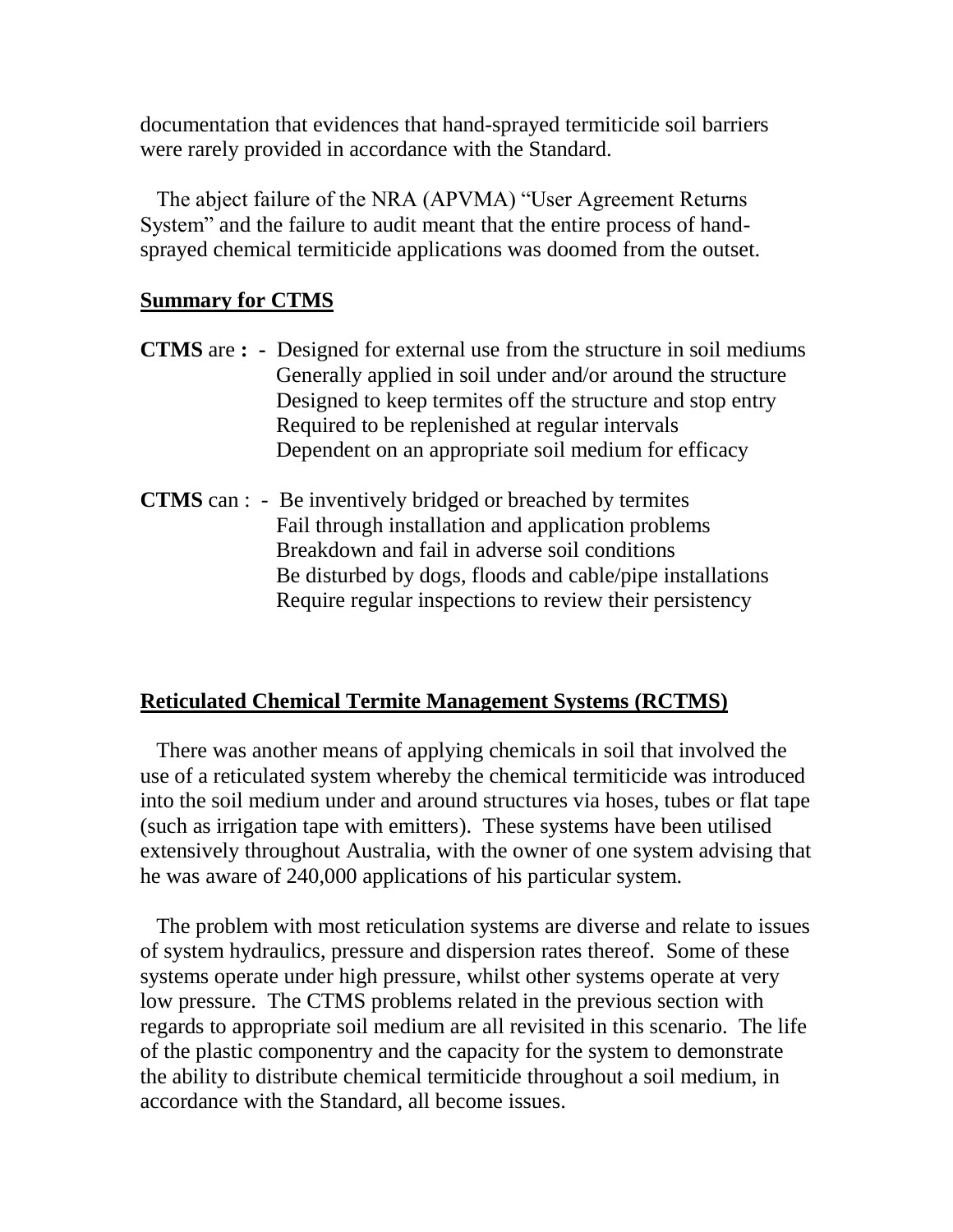documentation that evidences that hand-sprayed termiticide soil barriers were rarely provided in accordance with the Standard.

 The abject failure of the NRA (APVMA) "User Agreement Returns System" and the failure to audit meant that the entire process of handsprayed chemical termiticide applications was doomed from the outset.

# **Summary for CTMS**

- **CTMS** are **:** Designed for external use from the structure in soil mediums Generally applied in soil under and/or around the structure Designed to keep termites off the structure and stop entry Required to be replenished at regular intervals Dependent on an appropriate soil medium for efficacy
- **CTMS** can : Be inventively bridged or breached by termites Fail through installation and application problems Breakdown and fail in adverse soil conditions Be disturbed by dogs, floods and cable/pipe installations Require regular inspections to review their persistency

# **Reticulated Chemical Termite Management Systems (RCTMS)**

 There was another means of applying chemicals in soil that involved the use of a reticulated system whereby the chemical termiticide was introduced into the soil medium under and around structures via hoses, tubes or flat tape (such as irrigation tape with emitters). These systems have been utilised extensively throughout Australia, with the owner of one system advising that he was aware of 240,000 applications of his particular system.

 The problem with most reticulation systems are diverse and relate to issues of system hydraulics, pressure and dispersion rates thereof. Some of these systems operate under high pressure, whilst other systems operate at very low pressure. The CTMS problems related in the previous section with regards to appropriate soil medium are all revisited in this scenario. The life of the plastic componentry and the capacity for the system to demonstrate the ability to distribute chemical termiticide throughout a soil medium, in accordance with the Standard, all become issues.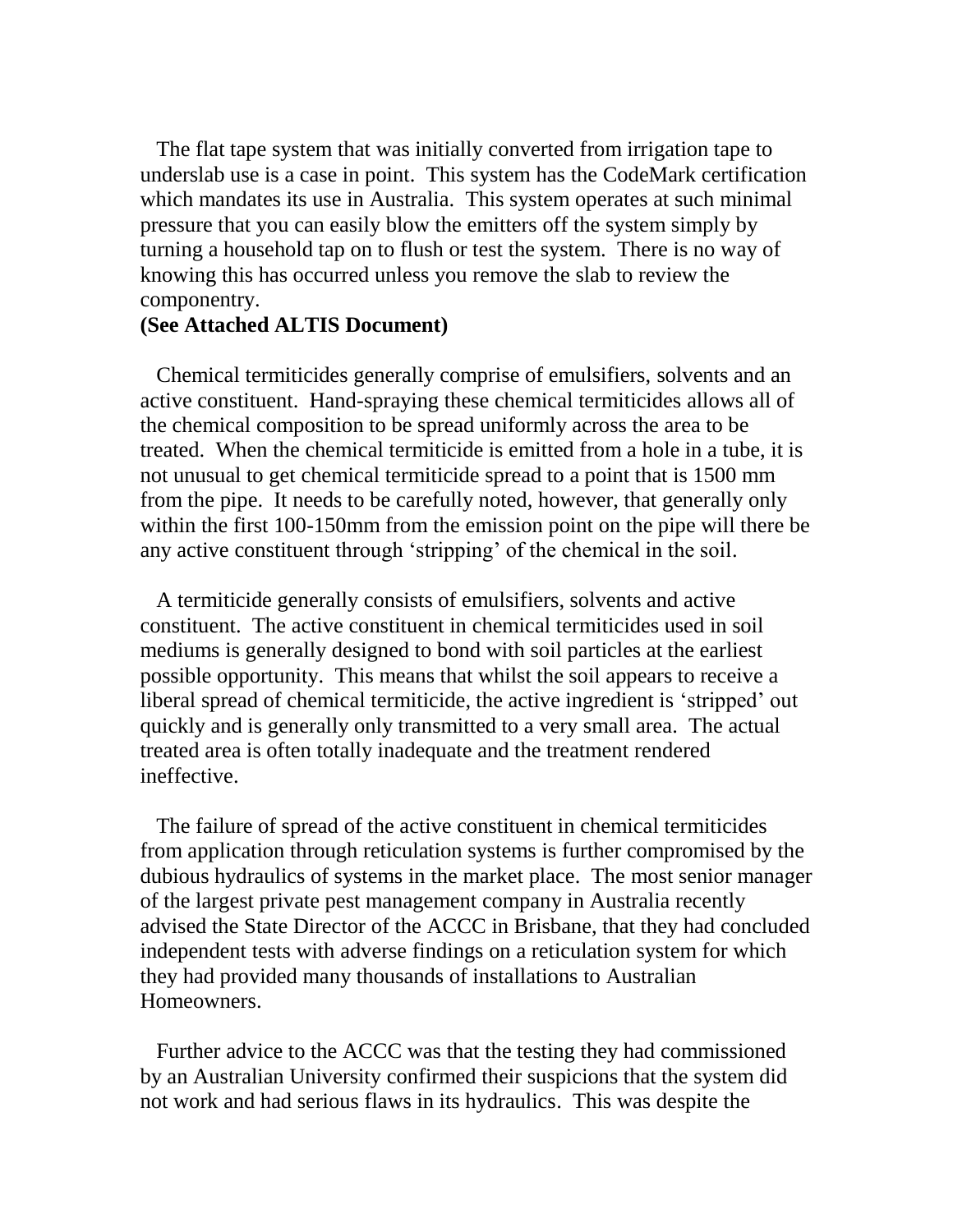The flat tape system that was initially converted from irrigation tape to underslab use is a case in point. This system has the CodeMark certification which mandates its use in Australia. This system operates at such minimal pressure that you can easily blow the emitters off the system simply by turning a household tap on to flush or test the system. There is no way of knowing this has occurred unless you remove the slab to review the componentry.

### **(See Attached ALTIS Document)**

 Chemical termiticides generally comprise of emulsifiers, solvents and an active constituent. Hand-spraying these chemical termiticides allows all of the chemical composition to be spread uniformly across the area to be treated. When the chemical termiticide is emitted from a hole in a tube, it is not unusual to get chemical termiticide spread to a point that is 1500 mm from the pipe. It needs to be carefully noted, however, that generally only within the first 100-150mm from the emission point on the pipe will there be any active constituent through 'stripping' of the chemical in the soil.

 A termiticide generally consists of emulsifiers, solvents and active constituent. The active constituent in chemical termiticides used in soil mediums is generally designed to bond with soil particles at the earliest possible opportunity. This means that whilst the soil appears to receive a liberal spread of chemical termiticide, the active ingredient is 'stripped' out quickly and is generally only transmitted to a very small area. The actual treated area is often totally inadequate and the treatment rendered ineffective.

 The failure of spread of the active constituent in chemical termiticides from application through reticulation systems is further compromised by the dubious hydraulics of systems in the market place. The most senior manager of the largest private pest management company in Australia recently advised the State Director of the ACCC in Brisbane, that they had concluded independent tests with adverse findings on a reticulation system for which they had provided many thousands of installations to Australian Homeowners.

 Further advice to the ACCC was that the testing they had commissioned by an Australian University confirmed their suspicions that the system did not work and had serious flaws in its hydraulics. This was despite the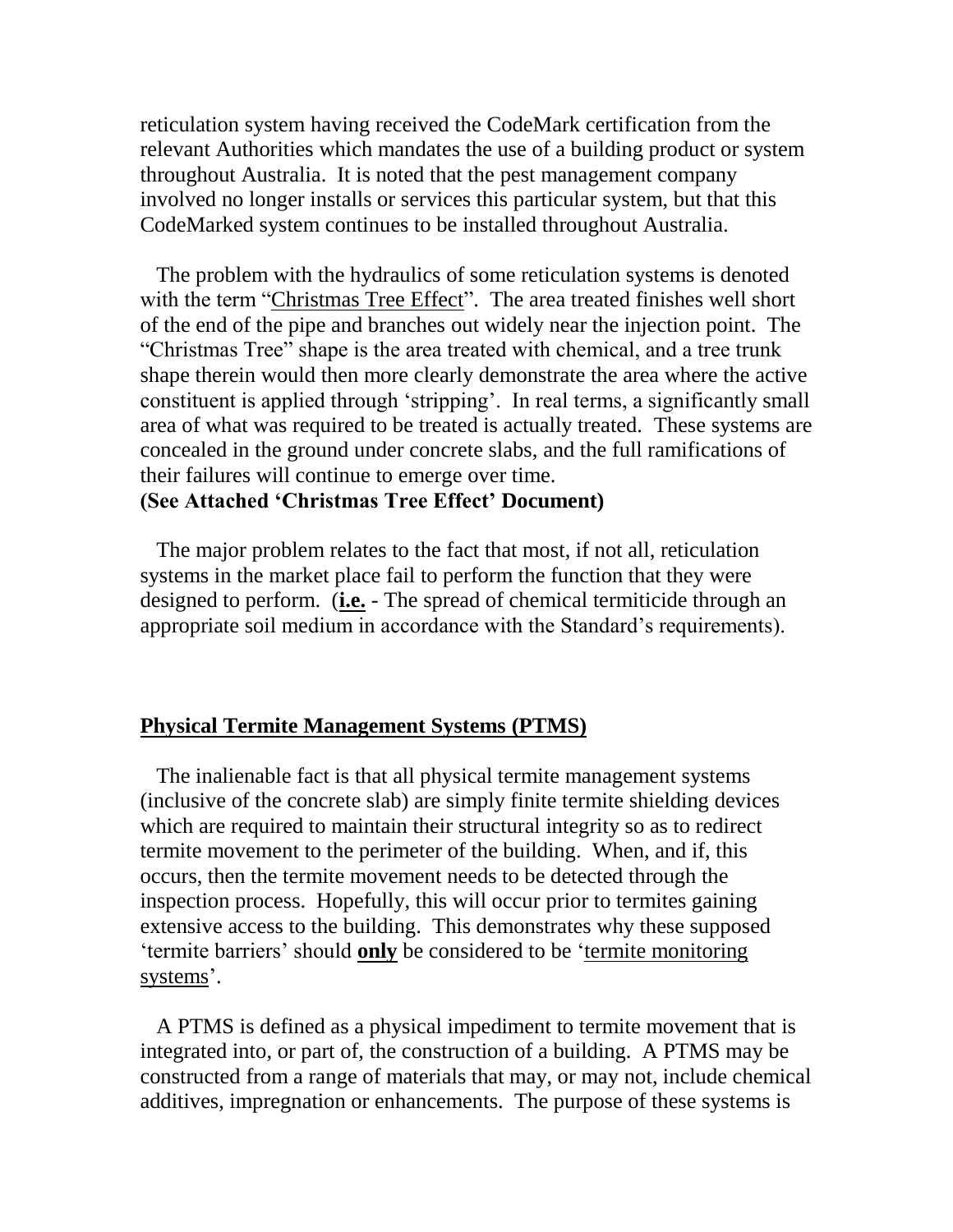reticulation system having received the CodeMark certification from the relevant Authorities which mandates the use of a building product or system throughout Australia. It is noted that the pest management company involved no longer installs or services this particular system, but that this CodeMarked system continues to be installed throughout Australia.

 The problem with the hydraulics of some reticulation systems is denoted with the term "Christmas Tree Effect". The area treated finishes well short of the end of the pipe and branches out widely near the injection point. The "Christmas Tree" shape is the area treated with chemical, and a tree trunk shape therein would then more clearly demonstrate the area where the active constituent is applied through 'stripping'. In real terms, a significantly small area of what was required to be treated is actually treated. These systems are concealed in the ground under concrete slabs, and the full ramifications of their failures will continue to emerge over time.

### **(See Attached 'Christmas Tree Effect' Document)**

 The major problem relates to the fact that most, if not all, reticulation systems in the market place fail to perform the function that they were designed to perform. (**i.e.** - The spread of chemical termiticide through an appropriate soil medium in accordance with the Standard's requirements).

#### **Physical Termite Management Systems (PTMS)**

 The inalienable fact is that all physical termite management systems (inclusive of the concrete slab) are simply finite termite shielding devices which are required to maintain their structural integrity so as to redirect termite movement to the perimeter of the building. When, and if, this occurs, then the termite movement needs to be detected through the inspection process. Hopefully, this will occur prior to termites gaining extensive access to the building. This demonstrates why these supposed 'termite barriers' should **only** be considered to be 'termite monitoring systems'.

 A PTMS is defined as a physical impediment to termite movement that is integrated into, or part of, the construction of a building. A PTMS may be constructed from a range of materials that may, or may not, include chemical additives, impregnation or enhancements. The purpose of these systems is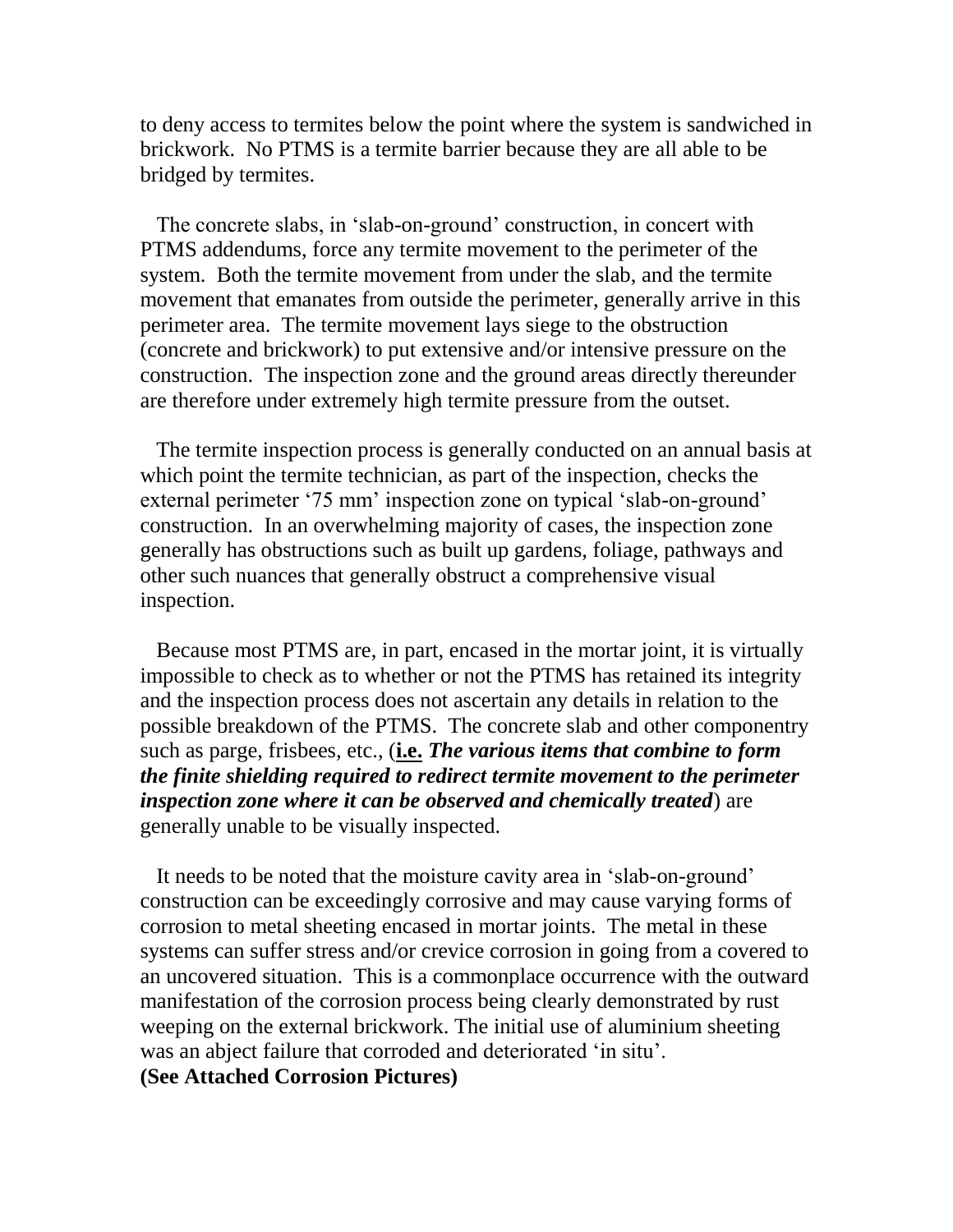to deny access to termites below the point where the system is sandwiched in brickwork. No PTMS is a termite barrier because they are all able to be bridged by termites.

 The concrete slabs, in 'slab-on-ground' construction, in concert with PTMS addendums, force any termite movement to the perimeter of the system. Both the termite movement from under the slab, and the termite movement that emanates from outside the perimeter, generally arrive in this perimeter area. The termite movement lays siege to the obstruction (concrete and brickwork) to put extensive and/or intensive pressure on the construction. The inspection zone and the ground areas directly thereunder are therefore under extremely high termite pressure from the outset.

 The termite inspection process is generally conducted on an annual basis at which point the termite technician, as part of the inspection, checks the external perimeter '75 mm' inspection zone on typical 'slab-on-ground' construction. In an overwhelming majority of cases, the inspection zone generally has obstructions such as built up gardens, foliage, pathways and other such nuances that generally obstruct a comprehensive visual inspection.

 Because most PTMS are, in part, encased in the mortar joint, it is virtually impossible to check as to whether or not the PTMS has retained its integrity and the inspection process does not ascertain any details in relation to the possible breakdown of the PTMS. The concrete slab and other componentry such as parge, frisbees, etc., (**i.e.** *The various items that combine to form the finite shielding required to redirect termite movement to the perimeter inspection zone where it can be observed and chemically treated*) are generally unable to be visually inspected.

 It needs to be noted that the moisture cavity area in 'slab-on-ground' construction can be exceedingly corrosive and may cause varying forms of corrosion to metal sheeting encased in mortar joints. The metal in these systems can suffer stress and/or crevice corrosion in going from a covered to an uncovered situation. This is a commonplace occurrence with the outward manifestation of the corrosion process being clearly demonstrated by rust weeping on the external brickwork. The initial use of aluminium sheeting was an abject failure that corroded and deteriorated 'in situ'.

**(See Attached Corrosion Pictures)**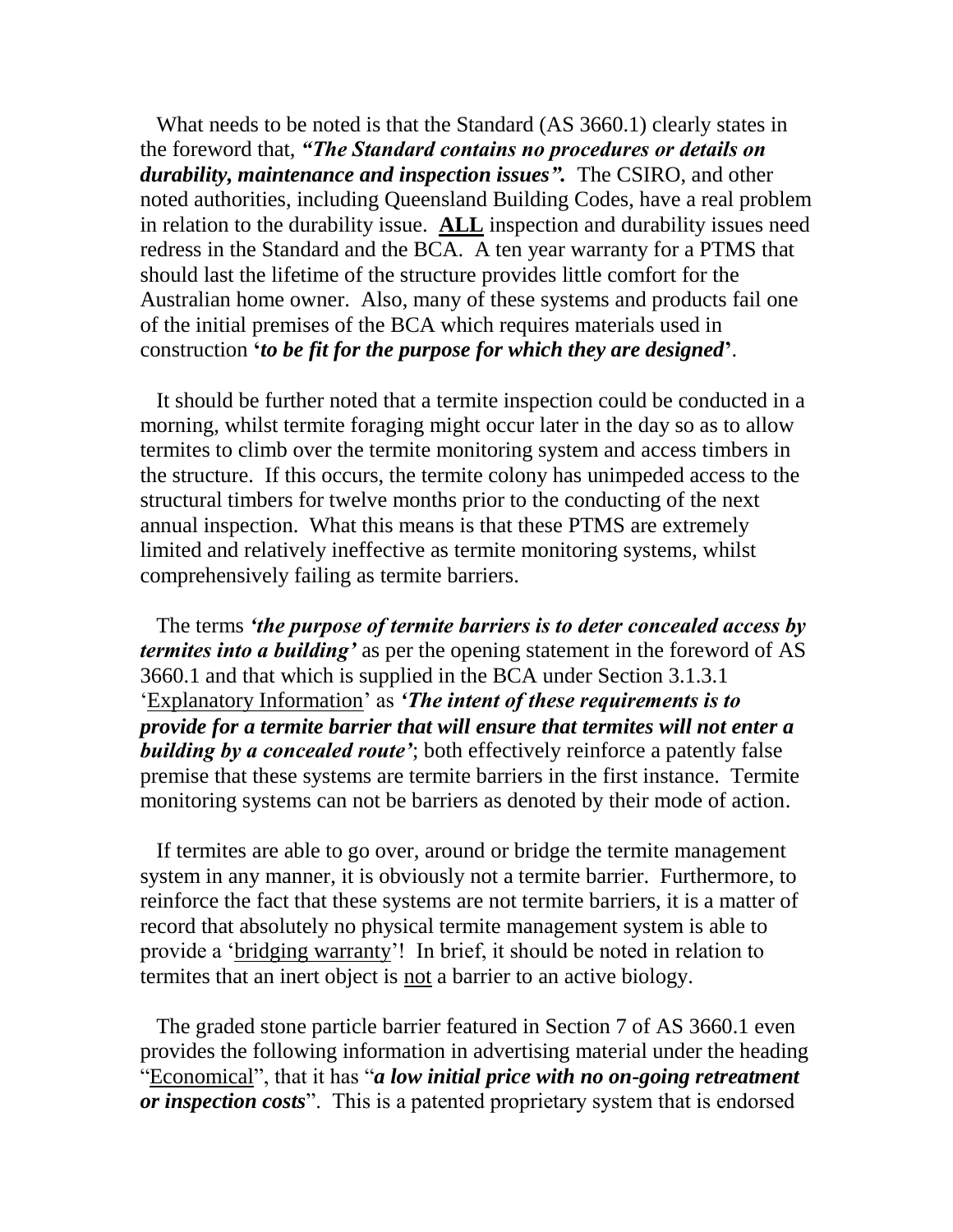What needs to be noted is that the Standard (AS 3660.1) clearly states in the foreword that, *"The Standard contains no procedures or details on durability, maintenance and inspection issues".* The CSIRO, and other noted authorities, including Queensland Building Codes, have a real problem in relation to the durability issue. **ALL** inspection and durability issues need redress in the Standard and the BCA. A ten year warranty for a PTMS that should last the lifetime of the structure provides little comfort for the Australian home owner. Also, many of these systems and products fail one of the initial premises of the BCA which requires materials used in construction **'***to be fit for the purpose for which they are designed***'**.

 It should be further noted that a termite inspection could be conducted in a morning, whilst termite foraging might occur later in the day so as to allow termites to climb over the termite monitoring system and access timbers in the structure. If this occurs, the termite colony has unimpeded access to the structural timbers for twelve months prior to the conducting of the next annual inspection. What this means is that these PTMS are extremely limited and relatively ineffective as termite monitoring systems, whilst comprehensively failing as termite barriers.

 The terms *'the purpose of termite barriers is to deter concealed access by termites into a building'* as per the opening statement in the foreword of AS 3660.1 and that which is supplied in the BCA under Section 3.1.3.1 'Explanatory Information' as *'The intent of these requirements is to provide for a termite barrier that will ensure that termites will not enter a building by a concealed route'*; both effectively reinforce a patently false premise that these systems are termite barriers in the first instance. Termite monitoring systems can not be barriers as denoted by their mode of action.

 If termites are able to go over, around or bridge the termite management system in any manner, it is obviously not a termite barrier. Furthermore, to reinforce the fact that these systems are not termite barriers, it is a matter of record that absolutely no physical termite management system is able to provide a 'bridging warranty'! In brief, it should be noted in relation to termites that an inert object is not a barrier to an active biology.

 The graded stone particle barrier featured in Section 7 of AS 3660.1 even provides the following information in advertising material under the heading "Economical", that it has "*a low initial price with no on-going retreatment or inspection costs*". This is a patented proprietary system that is endorsed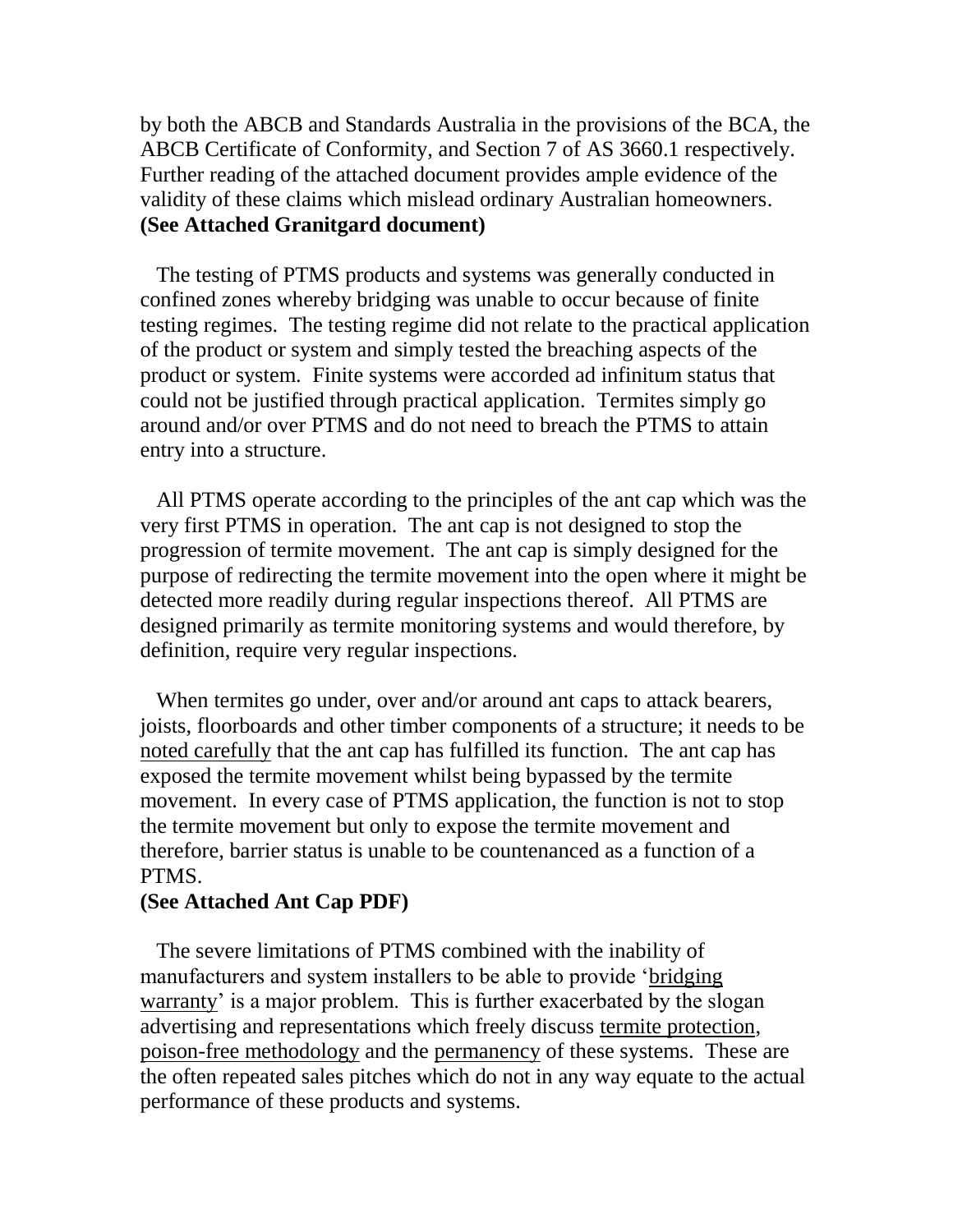by both the ABCB and Standards Australia in the provisions of the BCA, the ABCB Certificate of Conformity, and Section 7 of AS 3660.1 respectively. Further reading of the attached document provides ample evidence of the validity of these claims which mislead ordinary Australian homeowners. **(See Attached Granitgard document)** 

 The testing of PTMS products and systems was generally conducted in confined zones whereby bridging was unable to occur because of finite testing regimes. The testing regime did not relate to the practical application of the product or system and simply tested the breaching aspects of the product or system. Finite systems were accorded ad infinitum status that could not be justified through practical application. Termites simply go around and/or over PTMS and do not need to breach the PTMS to attain entry into a structure.

 All PTMS operate according to the principles of the ant cap which was the very first PTMS in operation. The ant cap is not designed to stop the progression of termite movement. The ant cap is simply designed for the purpose of redirecting the termite movement into the open where it might be detected more readily during regular inspections thereof. All PTMS are designed primarily as termite monitoring systems and would therefore, by definition, require very regular inspections.

When termites go under, over and/or around ant caps to attack bearers, joists, floorboards and other timber components of a structure; it needs to be noted carefully that the ant cap has fulfilled its function. The ant cap has exposed the termite movement whilst being bypassed by the termite movement. In every case of PTMS application, the function is not to stop the termite movement but only to expose the termite movement and therefore, barrier status is unable to be countenanced as a function of a PTMS.

### **(See Attached Ant Cap PDF)**

 The severe limitations of PTMS combined with the inability of manufacturers and system installers to be able to provide 'bridging warranty' is a major problem. This is further exacerbated by the slogan advertising and representations which freely discuss termite protection, poison-free methodology and the permanency of these systems. These are the often repeated sales pitches which do not in any way equate to the actual performance of these products and systems.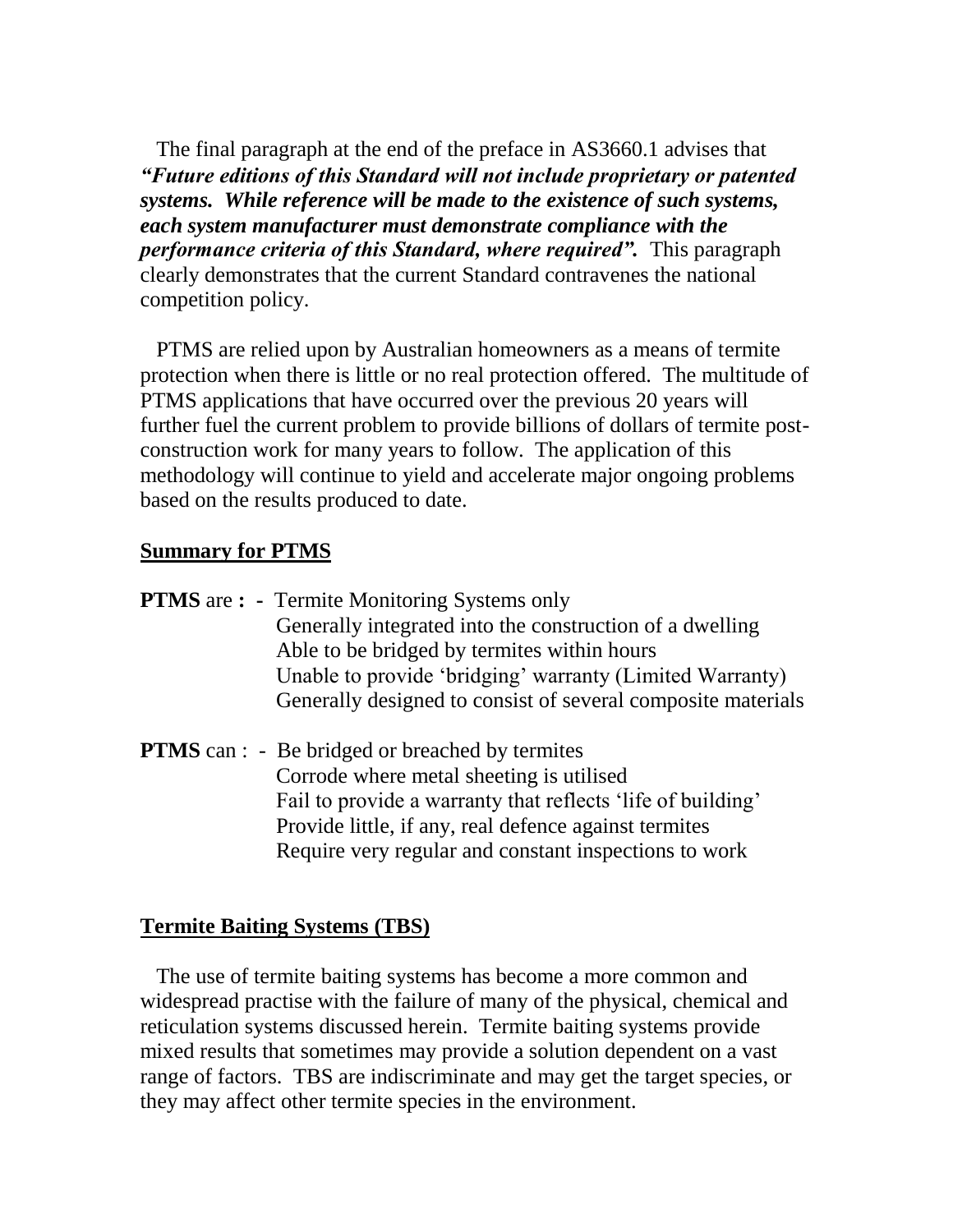The final paragraph at the end of the preface in AS3660.1 advises that *"Future editions of this Standard will not include proprietary or patented systems. While reference will be made to the existence of such systems, each system manufacturer must demonstrate compliance with the performance criteria of this Standard, where required".* This paragraph clearly demonstrates that the current Standard contravenes the national competition policy.

 PTMS are relied upon by Australian homeowners as a means of termite protection when there is little or no real protection offered. The multitude of PTMS applications that have occurred over the previous 20 years will further fuel the current problem to provide billions of dollars of termite postconstruction work for many years to follow. The application of this methodology will continue to yield and accelerate major ongoing problems based on the results produced to date.

# **Summary for PTMS**

- **PTMS** are **:** Termite Monitoring Systems only Generally integrated into the construction of a dwelling Able to be bridged by termites within hours Unable to provide 'bridging' warranty (Limited Warranty) Generally designed to consist of several composite materials
- **PTMS** can : Be bridged or breached by termites Corrode where metal sheeting is utilised Fail to provide a warranty that reflects 'life of building' Provide little, if any, real defence against termites Require very regular and constant inspections to work

# **Termite Baiting Systems (TBS)**

 The use of termite baiting systems has become a more common and widespread practise with the failure of many of the physical, chemical and reticulation systems discussed herein. Termite baiting systems provide mixed results that sometimes may provide a solution dependent on a vast range of factors. TBS are indiscriminate and may get the target species, or they may affect other termite species in the environment.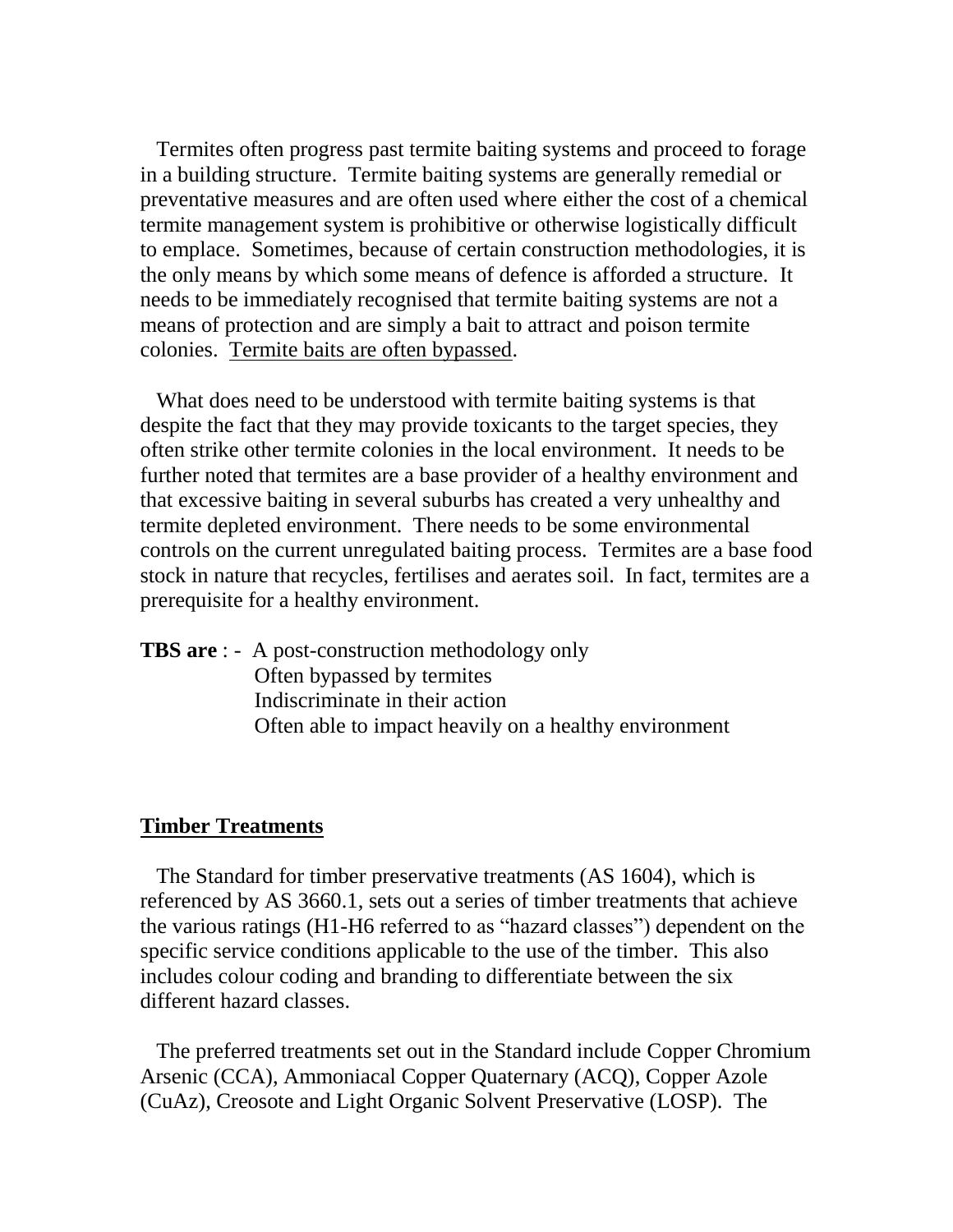Termites often progress past termite baiting systems and proceed to forage in a building structure. Termite baiting systems are generally remedial or preventative measures and are often used where either the cost of a chemical termite management system is prohibitive or otherwise logistically difficult to emplace. Sometimes, because of certain construction methodologies, it is the only means by which some means of defence is afforded a structure. It needs to be immediately recognised that termite baiting systems are not a means of protection and are simply a bait to attract and poison termite colonies. Termite baits are often bypassed.

 What does need to be understood with termite baiting systems is that despite the fact that they may provide toxicants to the target species, they often strike other termite colonies in the local environment. It needs to be further noted that termites are a base provider of a healthy environment and that excessive baiting in several suburbs has created a very unhealthy and termite depleted environment. There needs to be some environmental controls on the current unregulated baiting process. Termites are a base food stock in nature that recycles, fertilises and aerates soil. In fact, termites are a prerequisite for a healthy environment.

**TBS are** : - A post-construction methodology only Often bypassed by termites Indiscriminate in their action Often able to impact heavily on a healthy environment

#### **Timber Treatments**

 The Standard for timber preservative treatments (AS 1604), which is referenced by AS 3660.1, sets out a series of timber treatments that achieve the various ratings (H1-H6 referred to as "hazard classes") dependent on the specific service conditions applicable to the use of the timber. This also includes colour coding and branding to differentiate between the six different hazard classes.

 The preferred treatments set out in the Standard include Copper Chromium Arsenic (CCA), Ammoniacal Copper Quaternary (ACQ), Copper Azole (CuAz), Creosote and Light Organic Solvent Preservative (LOSP). The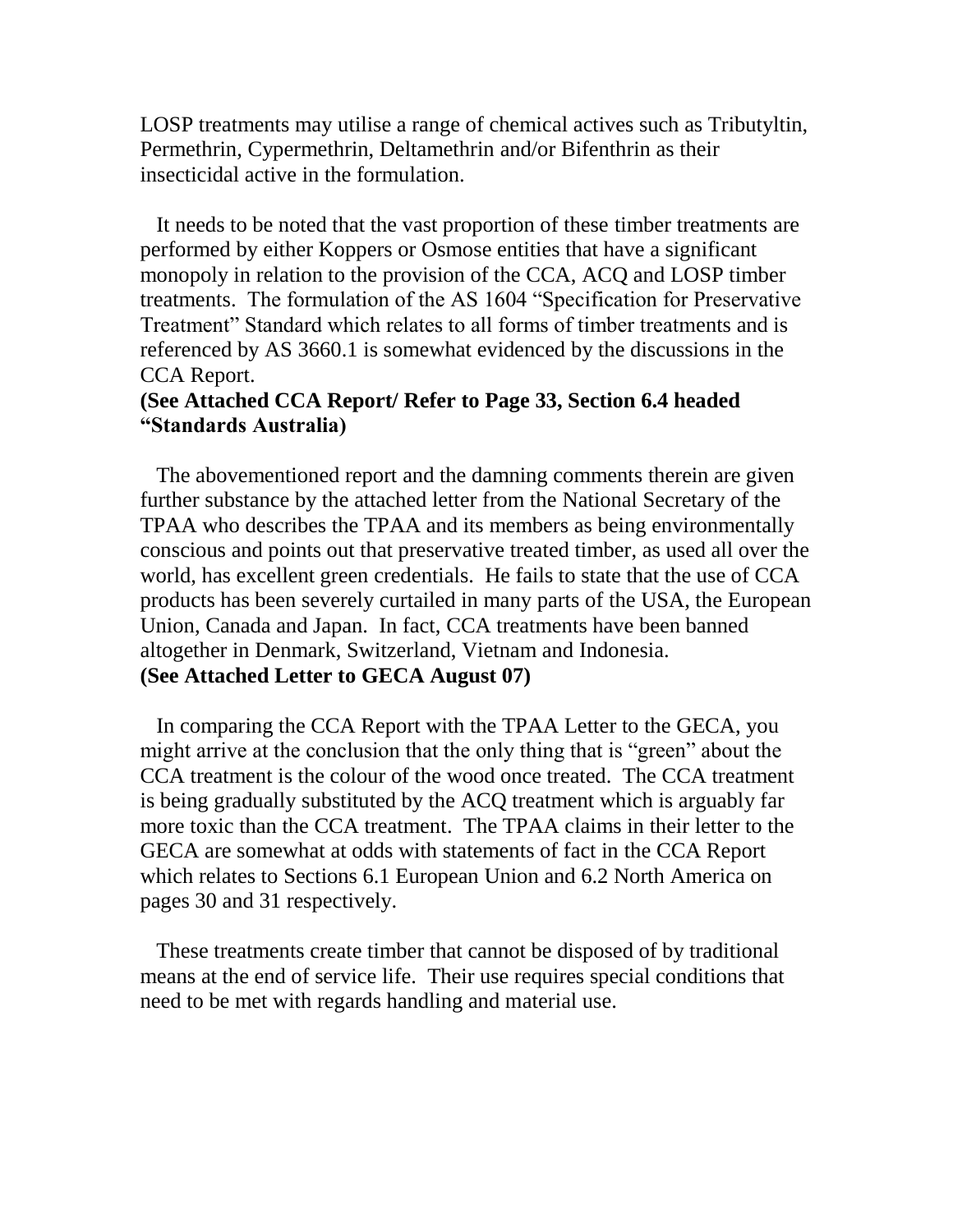LOSP treatments may utilise a range of chemical actives such as Tributyltin, Permethrin, Cypermethrin, Deltamethrin and/or Bifenthrin as their insecticidal active in the formulation.

 It needs to be noted that the vast proportion of these timber treatments are performed by either Koppers or Osmose entities that have a significant monopoly in relation to the provision of the CCA, ACQ and LOSP timber treatments. The formulation of the AS 1604 "Specification for Preservative Treatment" Standard which relates to all forms of timber treatments and is referenced by AS 3660.1 is somewhat evidenced by the discussions in the CCA Report.

# **(See Attached CCA Report/ Refer to Page 33, Section 6.4 headed "Standards Australia)**

The abovementioned report and the damning comments therein are given further substance by the attached letter from the National Secretary of the TPAA who describes the TPAA and its members as being environmentally conscious and points out that preservative treated timber, as used all over the world, has excellent green credentials. He fails to state that the use of CCA products has been severely curtailed in many parts of the USA, the European Union, Canada and Japan. In fact, CCA treatments have been banned altogether in Denmark, Switzerland, Vietnam and Indonesia. **(See Attached Letter to GECA August 07)**

In comparing the CCA Report with the TPAA Letter to the GECA, you might arrive at the conclusion that the only thing that is "green" about the CCA treatment is the colour of the wood once treated. The CCA treatment is being gradually substituted by the ACQ treatment which is arguably far more toxic than the CCA treatment. The TPAA claims in their letter to the GECA are somewhat at odds with statements of fact in the CCA Report which relates to Sections 6.1 European Union and 6.2 North America on pages 30 and 31 respectively.

 These treatments create timber that cannot be disposed of by traditional means at the end of service life. Their use requires special conditions that need to be met with regards handling and material use.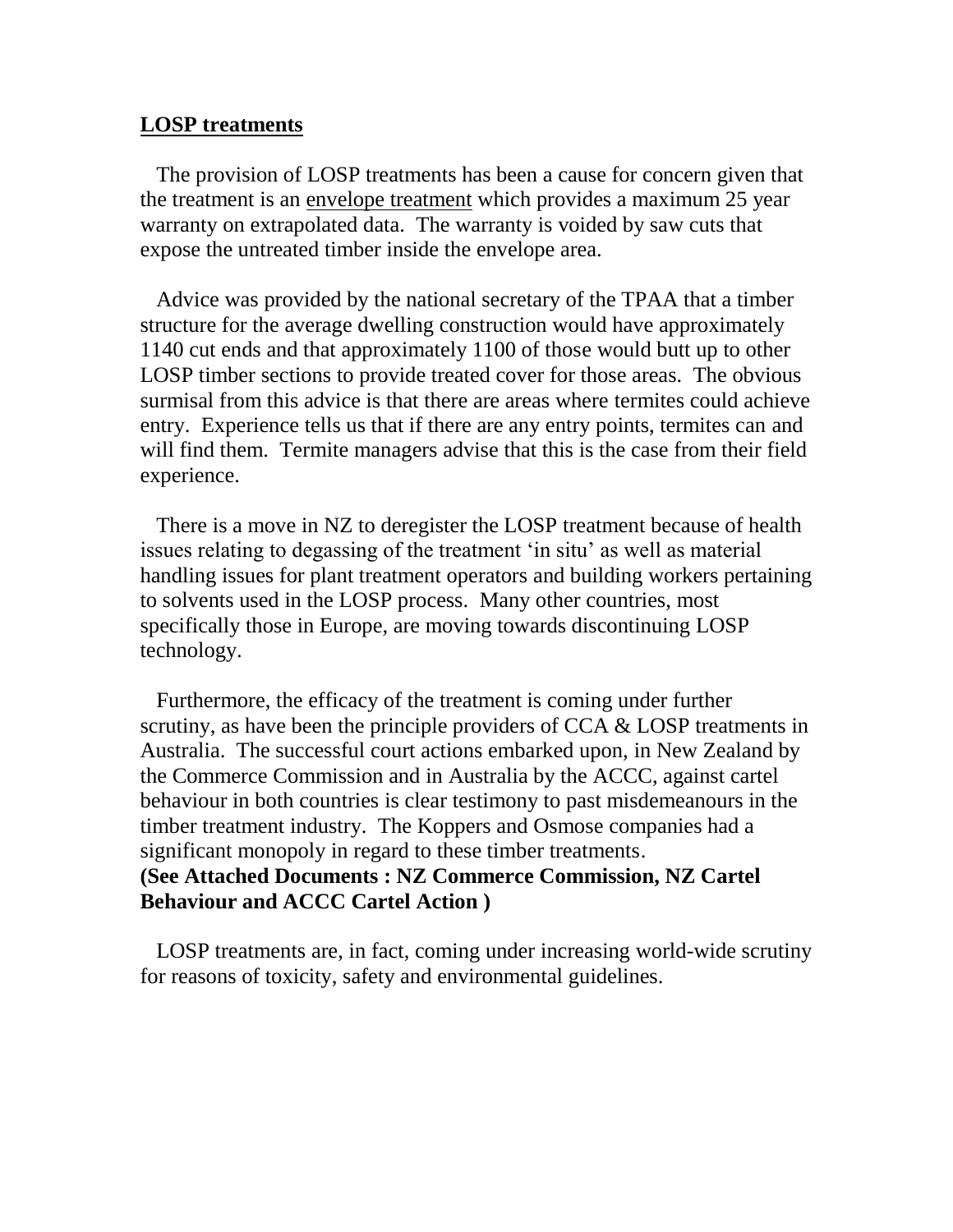### **LOSP treatments**

 The provision of LOSP treatments has been a cause for concern given that the treatment is an envelope treatment which provides a maximum 25 year warranty on extrapolated data. The warranty is voided by saw cuts that expose the untreated timber inside the envelope area.

 Advice was provided by the national secretary of the TPAA that a timber structure for the average dwelling construction would have approximately 1140 cut ends and that approximately 1100 of those would butt up to other LOSP timber sections to provide treated cover for those areas. The obvious surmisal from this advice is that there are areas where termites could achieve entry. Experience tells us that if there are any entry points, termites can and will find them. Termite managers advise that this is the case from their field experience.

 There is a move in NZ to deregister the LOSP treatment because of health issues relating to degassing of the treatment 'in situ' as well as material handling issues for plant treatment operators and building workers pertaining to solvents used in the LOSP process. Many other countries, most specifically those in Europe, are moving towards discontinuing LOSP technology.

 Furthermore, the efficacy of the treatment is coming under further scrutiny, as have been the principle providers of CCA & LOSP treatments in Australia. The successful court actions embarked upon, in New Zealand by the Commerce Commission and in Australia by the ACCC, against cartel behaviour in both countries is clear testimony to past misdemeanours in the timber treatment industry. The Koppers and Osmose companies had a significant monopoly in regard to these timber treatments. **(See Attached Documents : NZ Commerce Commission, NZ Cartel Behaviour and ACCC Cartel Action )**

LOSP treatments are, in fact, coming under increasing world-wide scrutiny for reasons of toxicity, safety and environmental guidelines.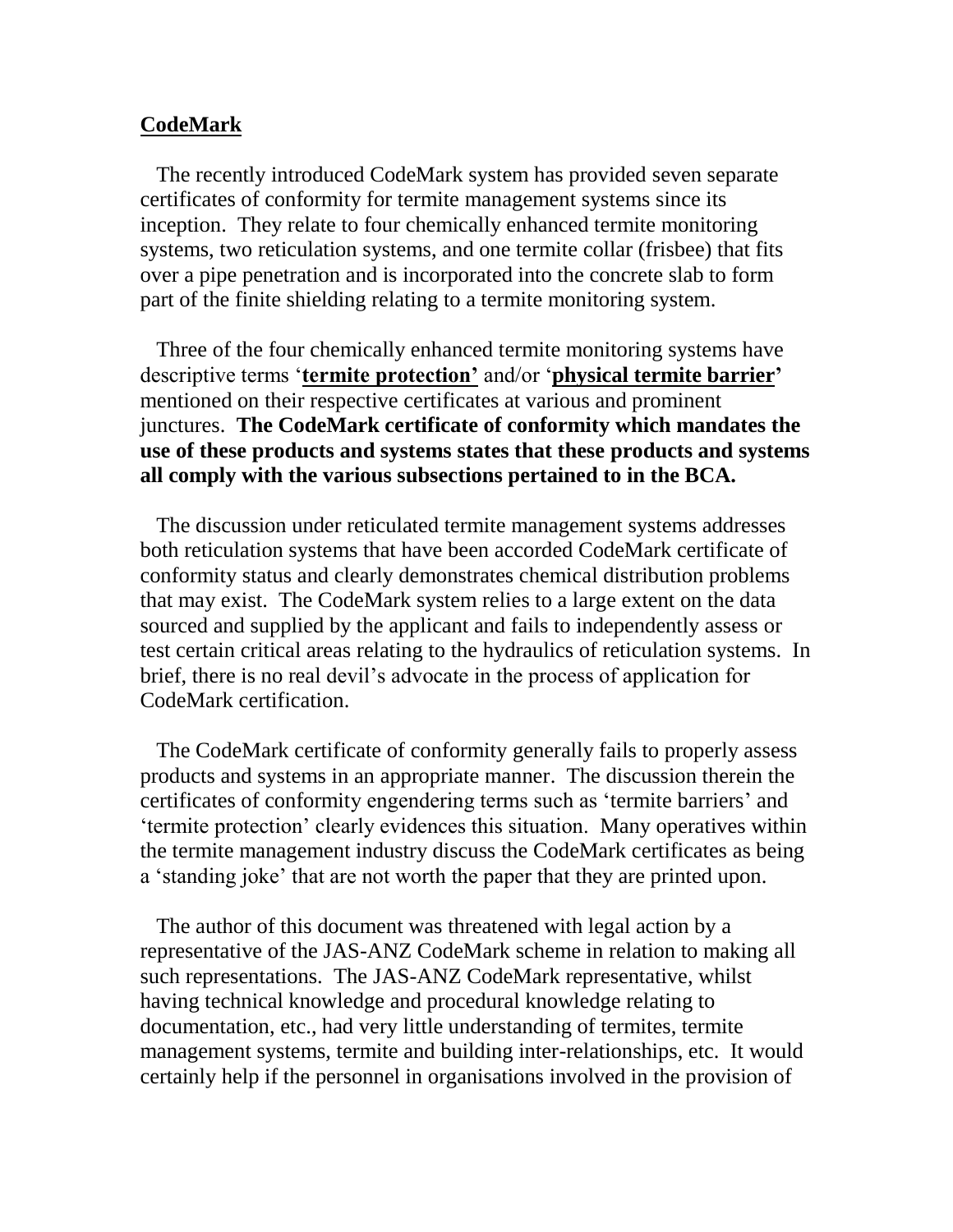### **CodeMark**

 The recently introduced CodeMark system has provided seven separate certificates of conformity for termite management systems since its inception. They relate to four chemically enhanced termite monitoring systems, two reticulation systems, and one termite collar (frisbee) that fits over a pipe penetration and is incorporated into the concrete slab to form part of the finite shielding relating to a termite monitoring system.

 Three of the four chemically enhanced termite monitoring systems have descriptive terms '**termite protection'** and/or '**physical termite barrier'** mentioned on their respective certificates at various and prominent junctures. **The CodeMark certificate of conformity which mandates the use of these products and systems states that these products and systems all comply with the various subsections pertained to in the BCA.**

 The discussion under reticulated termite management systems addresses both reticulation systems that have been accorded CodeMark certificate of conformity status and clearly demonstrates chemical distribution problems that may exist. The CodeMark system relies to a large extent on the data sourced and supplied by the applicant and fails to independently assess or test certain critical areas relating to the hydraulics of reticulation systems. In brief, there is no real devil's advocate in the process of application for CodeMark certification.

 The CodeMark certificate of conformity generally fails to properly assess products and systems in an appropriate manner. The discussion therein the certificates of conformity engendering terms such as 'termite barriers' and 'termite protection' clearly evidences this situation. Many operatives within the termite management industry discuss the CodeMark certificates as being a 'standing joke' that are not worth the paper that they are printed upon.

 The author of this document was threatened with legal action by a representative of the JAS-ANZ CodeMark scheme in relation to making all such representations. The JAS-ANZ CodeMark representative, whilst having technical knowledge and procedural knowledge relating to documentation, etc., had very little understanding of termites, termite management systems, termite and building inter-relationships, etc. It would certainly help if the personnel in organisations involved in the provision of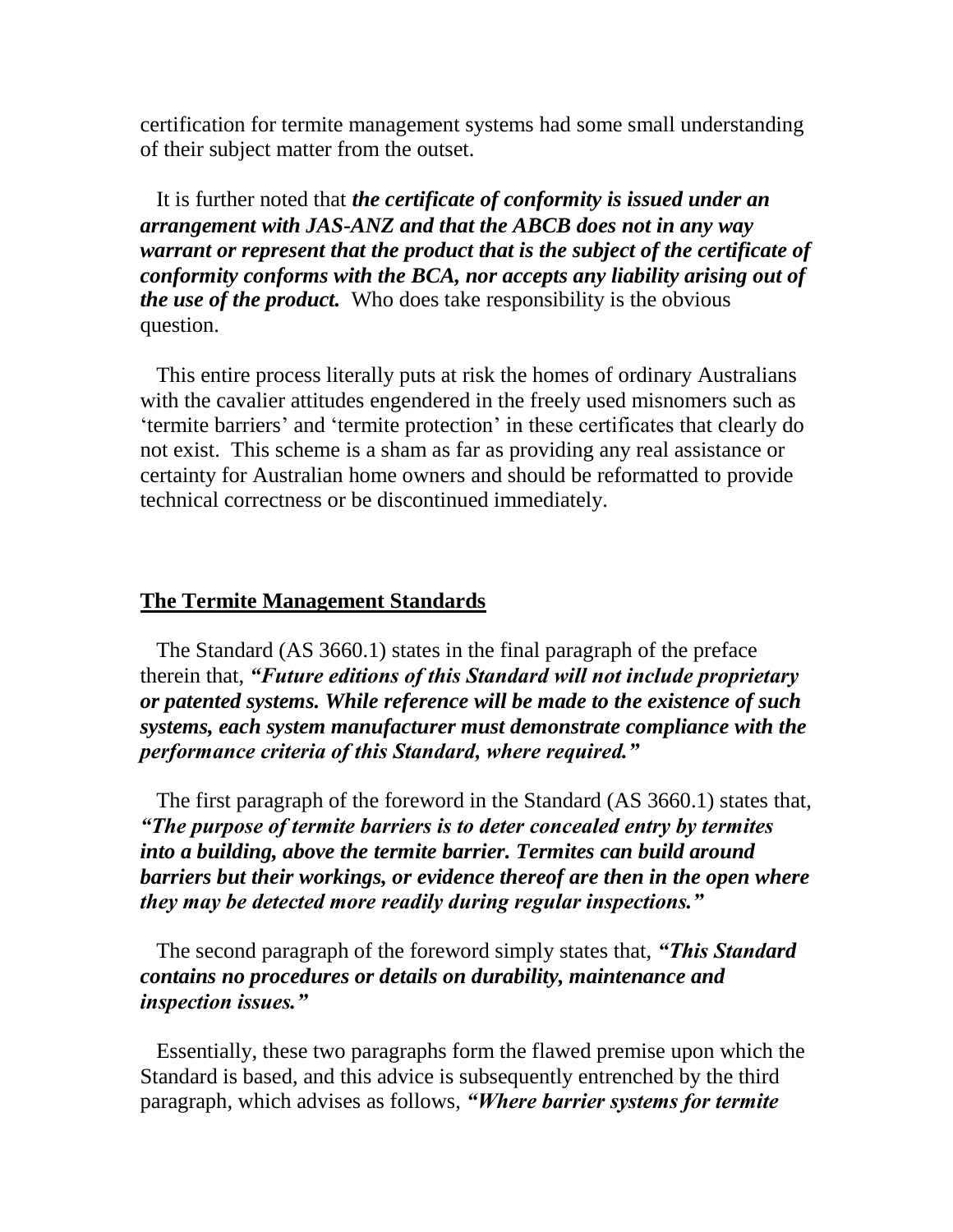certification for termite management systems had some small understanding of their subject matter from the outset.

 It is further noted that *the certificate of conformity is issued under an arrangement with JAS-ANZ and that the ABCB does not in any way warrant or represent that the product that is the subject of the certificate of conformity conforms with the BCA, nor accepts any liability arising out of the use of the product.* Who does take responsibility is the obvious question.

 This entire process literally puts at risk the homes of ordinary Australians with the cavalier attitudes engendered in the freely used misnomers such as 'termite barriers' and 'termite protection' in these certificates that clearly do not exist. This scheme is a sham as far as providing any real assistance or certainty for Australian home owners and should be reformatted to provide technical correctness or be discontinued immediately.

### **The Termite Management Standards**

 The Standard (AS 3660.1) states in the final paragraph of the preface therein that, *"Future editions of this Standard will not include proprietary or patented systems. While reference will be made to the existence of such systems, each system manufacturer must demonstrate compliance with the performance criteria of this Standard, where required."* 

 The first paragraph of the foreword in the Standard (AS 3660.1) states that, *"The purpose of termite barriers is to deter concealed entry by termites into a building, above the termite barrier. Termites can build around barriers but their workings, or evidence thereof are then in the open where they may be detected more readily during regular inspections."*

 The second paragraph of the foreword simply states that, *"This Standard contains no procedures or details on durability, maintenance and inspection issues."* 

 Essentially, these two paragraphs form the flawed premise upon which the Standard is based, and this advice is subsequently entrenched by the third paragraph, which advises as follows, *"Where barrier systems for termite*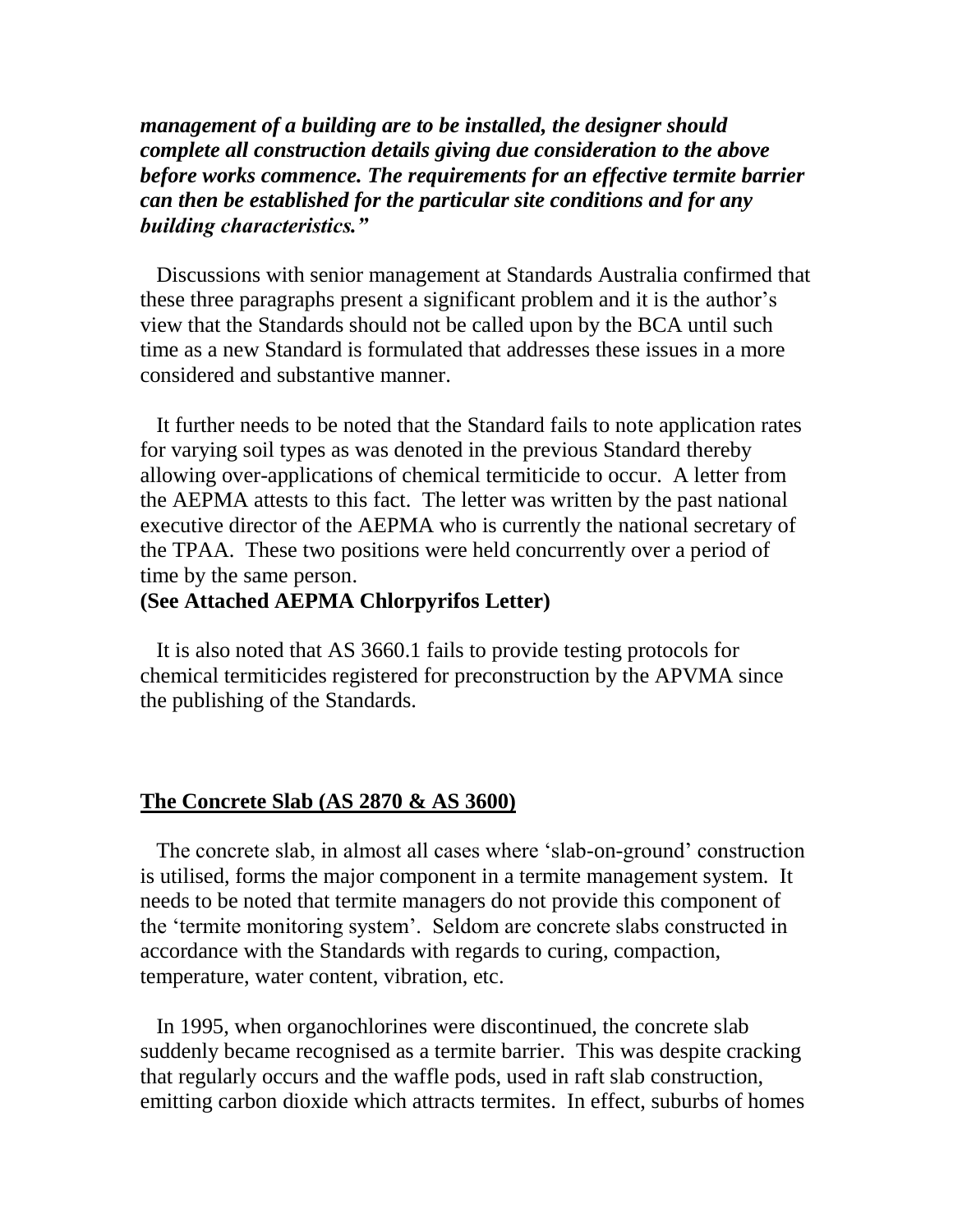*management of a building are to be installed, the designer should complete all construction details giving due consideration to the above before works commence. The requirements for an effective termite barrier can then be established for the particular site conditions and for any building characteristics."* 

 Discussions with senior management at Standards Australia confirmed that these three paragraphs present a significant problem and it is the author's view that the Standards should not be called upon by the BCA until such time as a new Standard is formulated that addresses these issues in a more considered and substantive manner.

 It further needs to be noted that the Standard fails to note application rates for varying soil types as was denoted in the previous Standard thereby allowing over-applications of chemical termiticide to occur. A letter from the AEPMA attests to this fact. The letter was written by the past national executive director of the AEPMA who is currently the national secretary of the TPAA. These two positions were held concurrently over a period of time by the same person.

# **(See Attached AEPMA Chlorpyrifos Letter)**

It is also noted that AS 3660.1 fails to provide testing protocols for chemical termiticides registered for preconstruction by the APVMA since the publishing of the Standards.

#### **The Concrete Slab (AS 2870 & AS 3600)**

 The concrete slab, in almost all cases where 'slab-on-ground' construction is utilised, forms the major component in a termite management system. It needs to be noted that termite managers do not provide this component of the 'termite monitoring system'. Seldom are concrete slabs constructed in accordance with the Standards with regards to curing, compaction, temperature, water content, vibration, etc.

 In 1995, when organochlorines were discontinued, the concrete slab suddenly became recognised as a termite barrier. This was despite cracking that regularly occurs and the waffle pods, used in raft slab construction, emitting carbon dioxide which attracts termites. In effect, suburbs of homes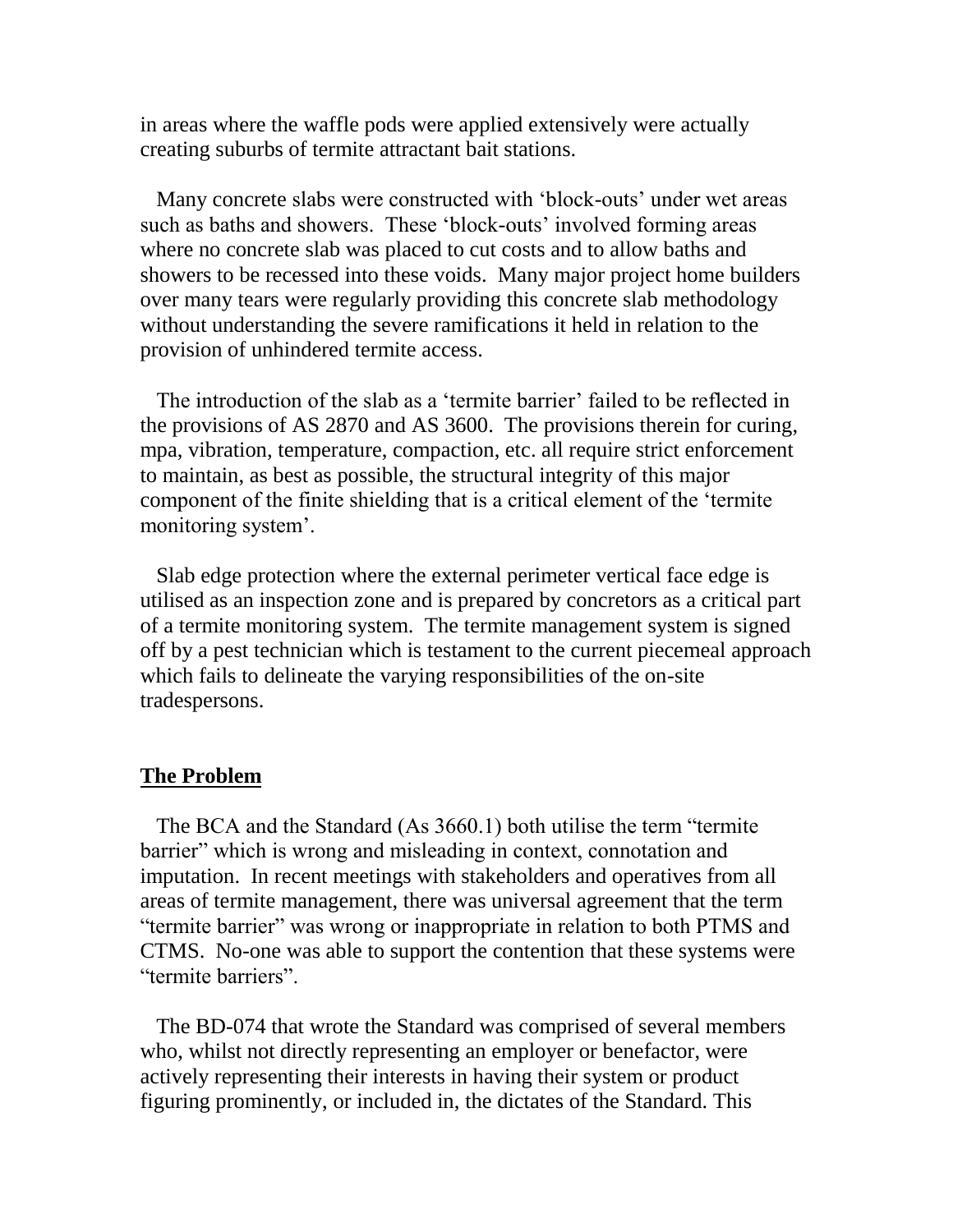in areas where the waffle pods were applied extensively were actually creating suburbs of termite attractant bait stations.

 Many concrete slabs were constructed with 'block-outs' under wet areas such as baths and showers. These 'block-outs' involved forming areas where no concrete slab was placed to cut costs and to allow baths and showers to be recessed into these voids. Many major project home builders over many tears were regularly providing this concrete slab methodology without understanding the severe ramifications it held in relation to the provision of unhindered termite access.

 The introduction of the slab as a 'termite barrier' failed to be reflected in the provisions of AS 2870 and AS 3600. The provisions therein for curing, mpa, vibration, temperature, compaction, etc. all require strict enforcement to maintain, as best as possible, the structural integrity of this major component of the finite shielding that is a critical element of the 'termite monitoring system'.

 Slab edge protection where the external perimeter vertical face edge is utilised as an inspection zone and is prepared by concretors as a critical part of a termite monitoring system. The termite management system is signed off by a pest technician which is testament to the current piecemeal approach which fails to delineate the varying responsibilities of the on-site tradespersons.

#### **The Problem**

 The BCA and the Standard (As 3660.1) both utilise the term "termite barrier" which is wrong and misleading in context, connotation and imputation. In recent meetings with stakeholders and operatives from all areas of termite management, there was universal agreement that the term "termite barrier" was wrong or inappropriate in relation to both PTMS and CTMS. No-one was able to support the contention that these systems were "termite barriers".

 The BD-074 that wrote the Standard was comprised of several members who, whilst not directly representing an employer or benefactor, were actively representing their interests in having their system or product figuring prominently, or included in, the dictates of the Standard. This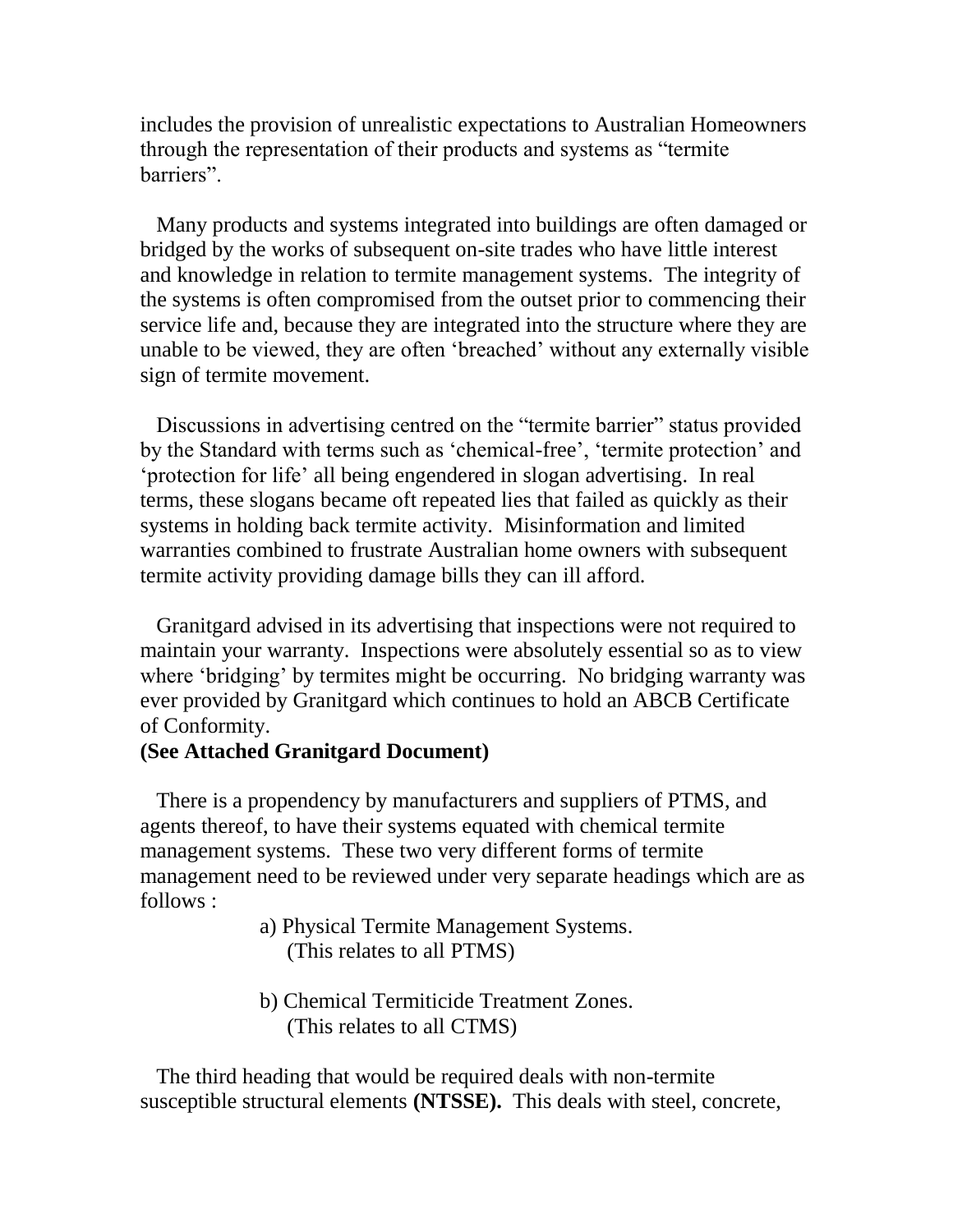includes the provision of unrealistic expectations to Australian Homeowners through the representation of their products and systems as "termite barriers".

 Many products and systems integrated into buildings are often damaged or bridged by the works of subsequent on-site trades who have little interest and knowledge in relation to termite management systems. The integrity of the systems is often compromised from the outset prior to commencing their service life and, because they are integrated into the structure where they are unable to be viewed, they are often 'breached' without any externally visible sign of termite movement.

 Discussions in advertising centred on the "termite barrier" status provided by the Standard with terms such as 'chemical-free', 'termite protection' and 'protection for life' all being engendered in slogan advertising. In real terms, these slogans became oft repeated lies that failed as quickly as their systems in holding back termite activity. Misinformation and limited warranties combined to frustrate Australian home owners with subsequent termite activity providing damage bills they can ill afford.

 Granitgard advised in its advertising that inspections were not required to maintain your warranty. Inspections were absolutely essential so as to view where 'bridging' by termites might be occurring. No bridging warranty was ever provided by Granitgard which continues to hold an ABCB Certificate of Conformity.

### **(See Attached Granitgard Document)**

 There is a propendency by manufacturers and suppliers of PTMS, and agents thereof, to have their systems equated with chemical termite management systems. These two very different forms of termite management need to be reviewed under very separate headings which are as follows :

- a) Physical Termite Management Systems. (This relates to all PTMS)
- b) Chemical Termiticide Treatment Zones. (This relates to all CTMS)

 The third heading that would be required deals with non-termite susceptible structural elements **(NTSSE).** This deals with steel, concrete,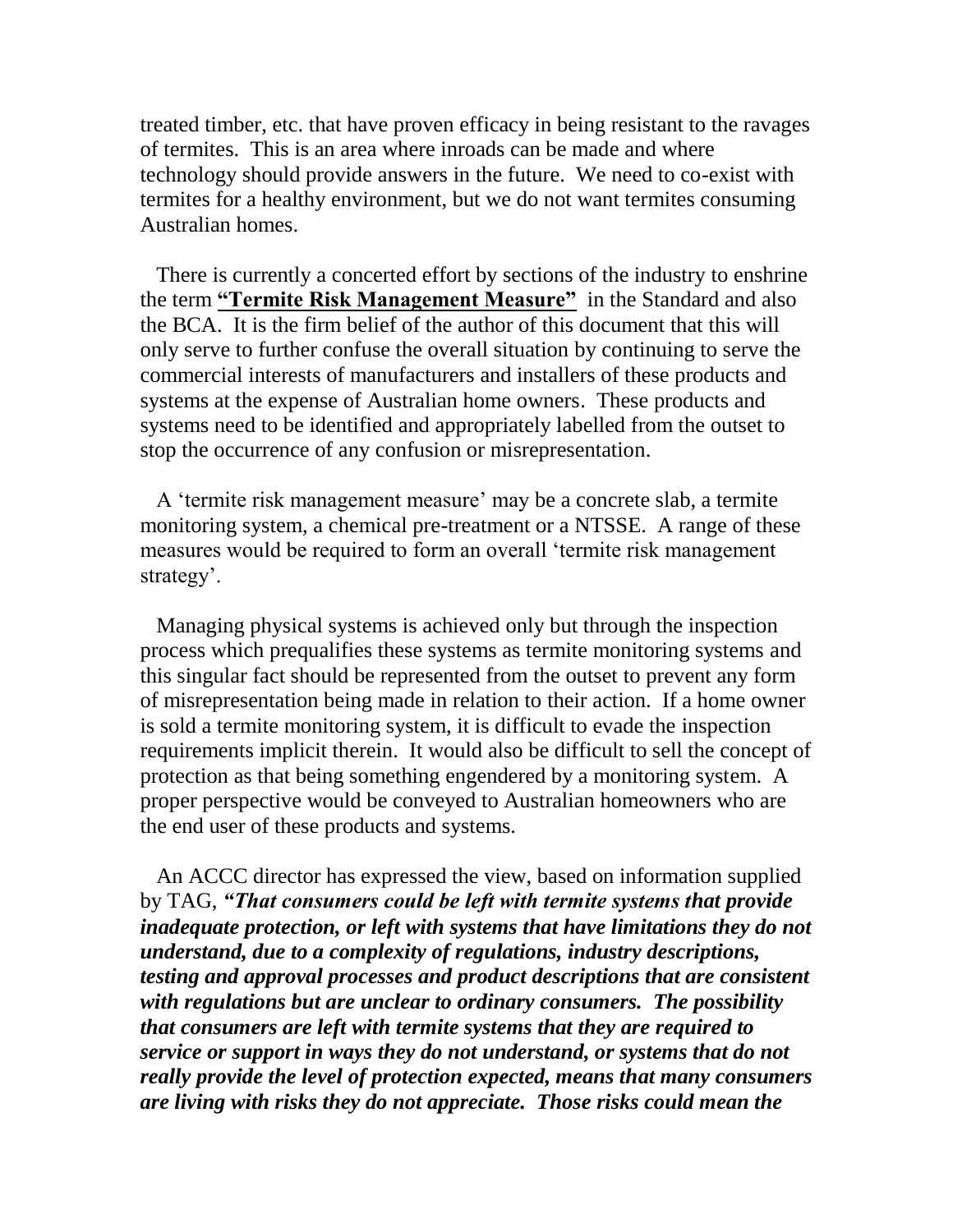treated timber, etc. that have proven efficacy in being resistant to the ravages of termites. This is an area where inroads can be made and where technology should provide answers in the future. We need to co-exist with termites for a healthy environment, but we do not want termites consuming Australian homes.

 There is currently a concerted effort by sections of the industry to enshrine the term **"Termite Risk Management Measure"** in the Standard and also the BCA. It is the firm belief of the author of this document that this will only serve to further confuse the overall situation by continuing to serve the commercial interests of manufacturers and installers of these products and systems at the expense of Australian home owners. These products and systems need to be identified and appropriately labelled from the outset to stop the occurrence of any confusion or misrepresentation.

 A 'termite risk management measure' may be a concrete slab, a termite monitoring system, a chemical pre-treatment or a NTSSE. A range of these measures would be required to form an overall 'termite risk management strategy'.

 Managing physical systems is achieved only but through the inspection process which prequalifies these systems as termite monitoring systems and this singular fact should be represented from the outset to prevent any form of misrepresentation being made in relation to their action. If a home owner is sold a termite monitoring system, it is difficult to evade the inspection requirements implicit therein. It would also be difficult to sell the concept of protection as that being something engendered by a monitoring system. A proper perspective would be conveyed to Australian homeowners who are the end user of these products and systems.

 An ACCC director has expressed the view, based on information supplied by TAG, *"That consumers could be left with termite systems that provide inadequate protection, or left with systems that have limitations they do not understand, due to a complexity of regulations, industry descriptions, testing and approval processes and product descriptions that are consistent with regulations but are unclear to ordinary consumers. The possibility that consumers are left with termite systems that they are required to service or support in ways they do not understand, or systems that do not really provide the level of protection expected, means that many consumers are living with risks they do not appreciate. Those risks could mean the*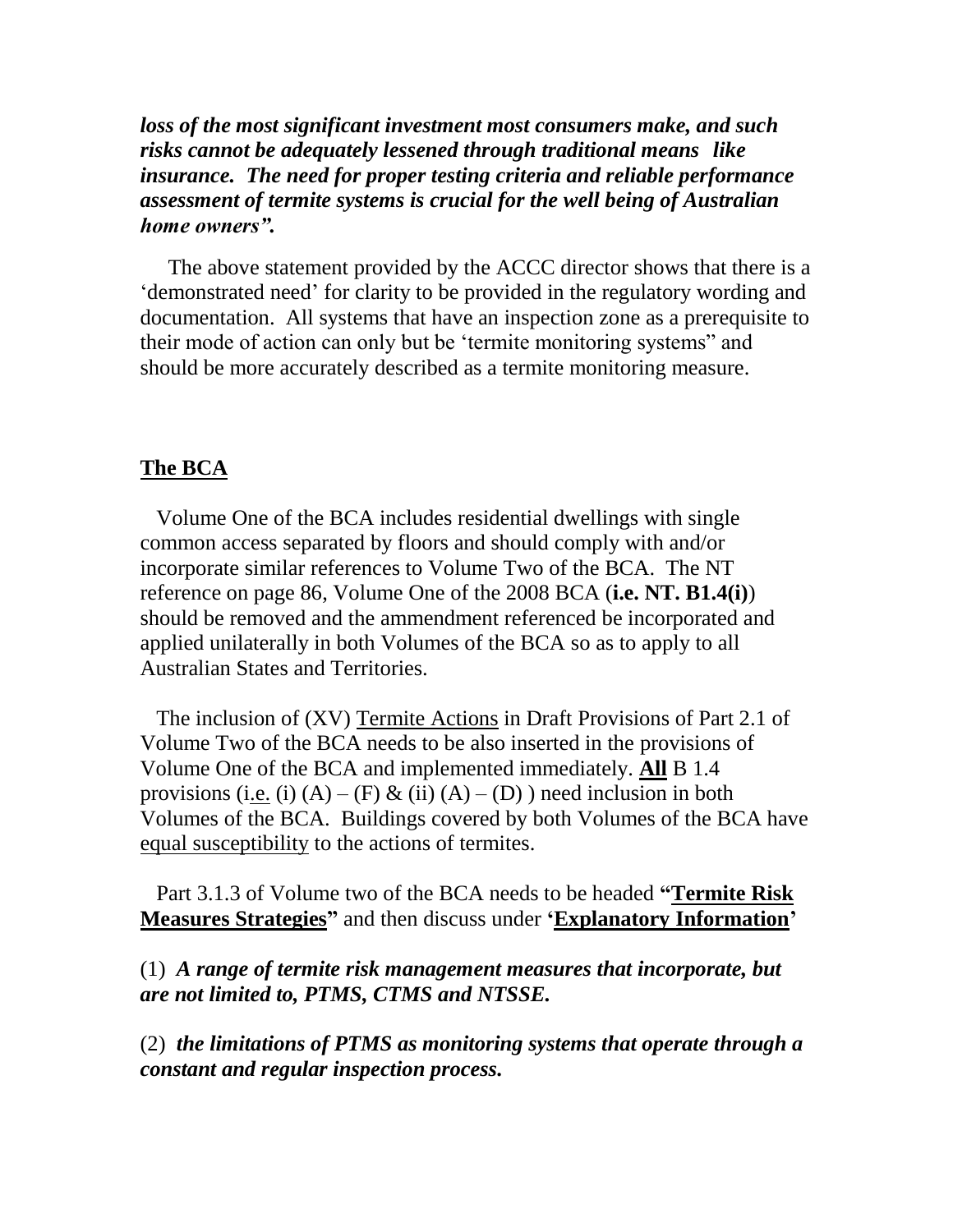*loss of the most significant investment most consumers make, and such risks cannot be adequately lessened through traditional means like insurance. The need for proper testing criteria and reliable performance assessment of termite systems is crucial for the well being of Australian home owners".*

 The above statement provided by the ACCC director shows that there is a 'demonstrated need' for clarity to be provided in the regulatory wording and documentation. All systems that have an inspection zone as a prerequisite to their mode of action can only but be 'termite monitoring systems" and should be more accurately described as a termite monitoring measure.

### **The BCA**

 Volume One of the BCA includes residential dwellings with single common access separated by floors and should comply with and/or incorporate similar references to Volume Two of the BCA. The NT reference on page 86, Volume One of the 2008 BCA (**i.e. NT. B1.4(i)**) should be removed and the ammendment referenced be incorporated and applied unilaterally in both Volumes of the BCA so as to apply to all Australian States and Territories.

 The inclusion of (XV) Termite Actions in Draft Provisions of Part 2.1 of Volume Two of the BCA needs to be also inserted in the provisions of Volume One of the BCA and implemented immediately. **All** B 1.4 provisions (i.e. (i)  $(A) - (F) \& (ii) (A) - (D)$ ) need inclusion in both Volumes of the BCA. Buildings covered by both Volumes of the BCA have equal susceptibility to the actions of termites.

 Part 3.1.3 of Volume two of the BCA needs to be headed **"Termite Risk Measures Strategies"** and then discuss under **'Explanatory Information'**

(1) *A range of termite risk management measures that incorporate, but are not limited to, PTMS, CTMS and NTSSE.*

(2) *the limitations of PTMS as monitoring systems that operate through a constant and regular inspection process.*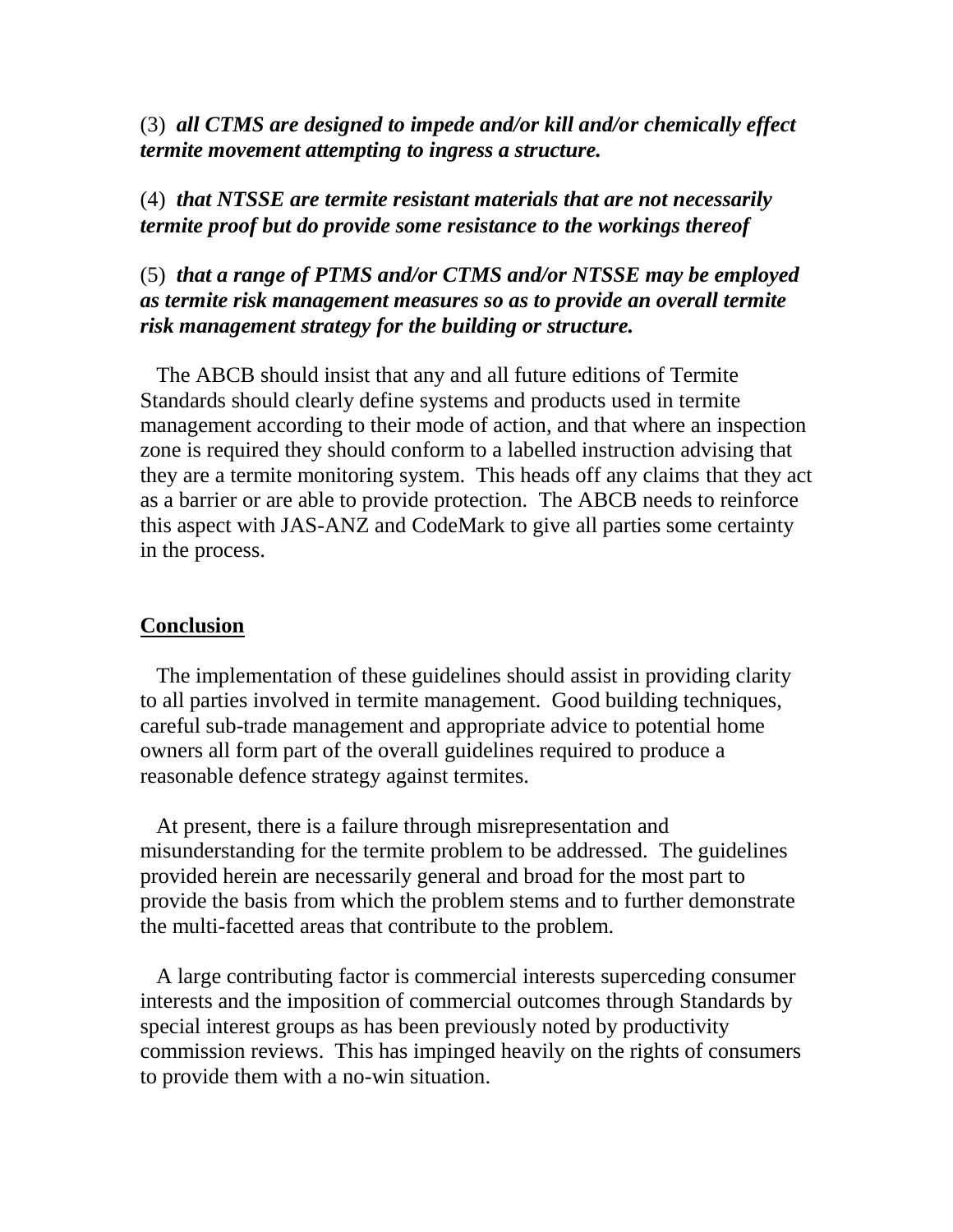(3) *all CTMS are designed to impede and/or kill and/or chemically effect termite movement attempting to ingress a structure.*

# (4) *that NTSSE are termite resistant materials that are not necessarily termite proof but do provide some resistance to the workings thereof*

# (5) *that a range of PTMS and/or CTMS and/or NTSSE may be employed as termite risk management measures so as to provide an overall termite risk management strategy for the building or structure.*

 The ABCB should insist that any and all future editions of Termite Standards should clearly define systems and products used in termite management according to their mode of action, and that where an inspection zone is required they should conform to a labelled instruction advising that they are a termite monitoring system. This heads off any claims that they act as a barrier or are able to provide protection. The ABCB needs to reinforce this aspect with JAS-ANZ and CodeMark to give all parties some certainty in the process.

### **Conclusion**

 The implementation of these guidelines should assist in providing clarity to all parties involved in termite management. Good building techniques, careful sub-trade management and appropriate advice to potential home owners all form part of the overall guidelines required to produce a reasonable defence strategy against termites.

 At present, there is a failure through misrepresentation and misunderstanding for the termite problem to be addressed. The guidelines provided herein are necessarily general and broad for the most part to provide the basis from which the problem stems and to further demonstrate the multi-facetted areas that contribute to the problem.

 A large contributing factor is commercial interests superceding consumer interests and the imposition of commercial outcomes through Standards by special interest groups as has been previously noted by productivity commission reviews. This has impinged heavily on the rights of consumers to provide them with a no-win situation.